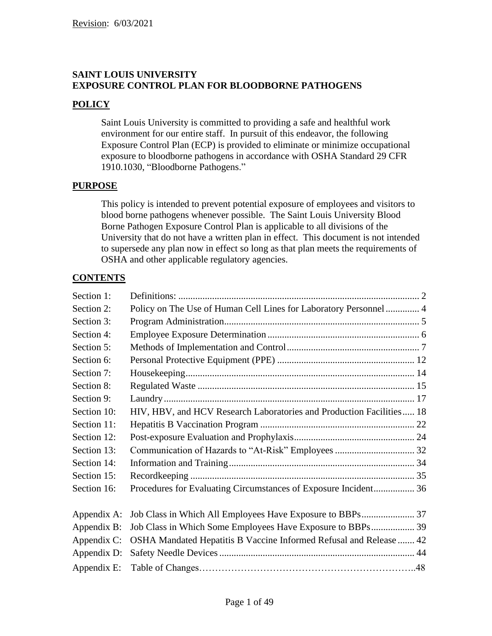# **SAINT LOUIS UNIVERSITY EXPOSURE CONTROL PLAN FOR BLOODBORNE PATHOGENS**

# **POLICY**

Saint Louis University is committed to providing a safe and healthful work environment for our entire staff. In pursuit of this endeavor, the following Exposure Control Plan (ECP) is provided to eliminate or minimize occupational exposure to bloodborne pathogens in accordance with OSHA Standard 29 CFR 1910.1030, "Bloodborne Pathogens."

# **PURPOSE**

This policy is intended to prevent potential exposure of employees and visitors to blood borne pathogens whenever possible. The Saint Louis University Blood Borne Pathogen Exposure Control Plan is applicable to all divisions of the University that do not have a written plan in effect. This document is not intended to supersede any plan now in effect so long as that plan meets the requirements of OSHA and other applicable regulatory agencies.

# **CONTENTS**

| Section 1:  |                                                                      |  |
|-------------|----------------------------------------------------------------------|--|
| Section 2:  | Policy on The Use of Human Cell Lines for Laboratory Personnel  4    |  |
| Section 3:  |                                                                      |  |
| Section 4:  |                                                                      |  |
| Section 5:  |                                                                      |  |
| Section 6:  |                                                                      |  |
| Section 7:  |                                                                      |  |
| Section 8:  |                                                                      |  |
| Section 9:  |                                                                      |  |
| Section 10: | HIV, HBV, and HCV Research Laboratories and Production Facilities 18 |  |
| Section 11: |                                                                      |  |
| Section 12: |                                                                      |  |
| Section 13: |                                                                      |  |
| Section 14: |                                                                      |  |
| Section 15: |                                                                      |  |
| Section 16: | Procedures for Evaluating Circumstances of Exposure Incident 36      |  |
| Appendix A: |                                                                      |  |
| Appendix B: |                                                                      |  |
| Appendix C: | OSHA Mandated Hepatitis B Vaccine Informed Refusal and Release  42   |  |
| Appendix D: |                                                                      |  |
| Appendix E: |                                                                      |  |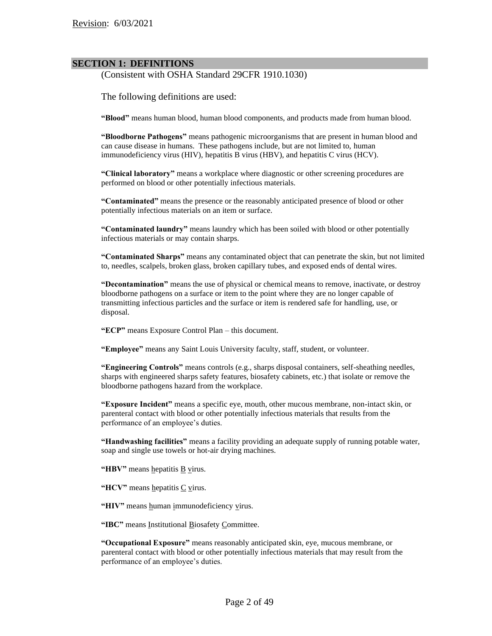#### **SECTION 1: DEFINITIONS**

(Consistent with OSHA Standard 29CFR 1910.1030)

The following definitions are used:

**"Blood"** means human blood, human blood components, and products made from human blood.

**"Bloodborne Pathogens"** means pathogenic microorganisms that are present in human blood and can cause disease in humans. These pathogens include, but are not limited to, human immunodeficiency virus (HIV), hepatitis B virus (HBV), and hepatitis C virus (HCV).

**"Clinical laboratory"** means a workplace where diagnostic or other screening procedures are performed on blood or other potentially infectious materials.

**"Contaminated"** means the presence or the reasonably anticipated presence of blood or other potentially infectious materials on an item or surface.

**"Contaminated laundry"** means laundry which has been soiled with blood or other potentially infectious materials or may contain sharps.

**"Contaminated Sharps"** means any contaminated object that can penetrate the skin, but not limited to, needles, scalpels, broken glass, broken capillary tubes, and exposed ends of dental wires.

**"Decontamination"** means the use of physical or chemical means to remove, inactivate, or destroy bloodborne pathogens on a surface or item to the point where they are no longer capable of transmitting infectious particles and the surface or item is rendered safe for handling, use, or disposal.

**"ECP"** means Exposure Control Plan – this document.

**"Employee"** means any Saint Louis University faculty, staff, student, or volunteer.

**"Engineering Controls"** means controls (e.g., sharps disposal containers, self-sheathing needles, sharps with engineered sharps safety features, biosafety cabinets, etc.) that isolate or remove the bloodborne pathogens hazard from the workplace.

**"Exposure Incident"** means a specific eye, mouth, other mucous membrane, non-intact skin, or parenteral contact with blood or other potentially infectious materials that results from the performance of an employee's duties.

**"Handwashing facilities"** means a facility providing an adequate supply of running potable water, soap and single use towels or hot-air drying machines.

**"HBV"** means hepatitis B virus.

**"HCV"** means hepatitis C virus.

"HIV" means human immunodeficiency virus.

**"IBC"** means Institutional Biosafety Committee.

**"Occupational Exposure"** means reasonably anticipated skin, eye, mucous membrane, or parenteral contact with blood or other potentially infectious materials that may result from the performance of an employee's duties.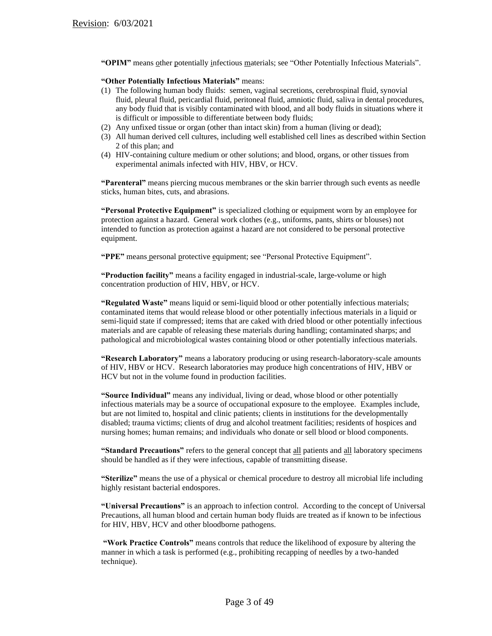**"OPIM"** means other potentially infectious materials; see "Other Potentially Infectious Materials".

#### **"Other Potentially Infectious Materials"** means:

- (1) The following human body fluids: semen, vaginal secretions, cerebrospinal fluid, synovial fluid, pleural fluid, pericardial fluid, peritoneal fluid, amniotic fluid, saliva in dental procedures, any body fluid that is visibly contaminated with blood, and all body fluids in situations where it is difficult or impossible to differentiate between body fluids;
- (2) Any unfixed tissue or organ (other than intact skin) from a human (living or dead);
- (3) All human derived cell cultures, including well established cell lines as described within Section 2 of this plan; and
- (4) HIV-containing culture medium or other solutions; and blood, organs, or other tissues from experimental animals infected with HIV, HBV, or HCV.

**"Parenteral"** means piercing mucous membranes or the skin barrier through such events as needle sticks, human bites, cuts, and abrasions.

**"Personal Protective Equipment"** is specialized clothing or equipment worn by an employee for protection against a hazard. General work clothes (e.g., uniforms, pants, shirts or blouses) not intended to function as protection against a hazard are not considered to be personal protective equipment.

**"PPE"** means personal protective equipment; see "Personal Protective Equipment".

**"Production facility"** means a facility engaged in industrial-scale, large-volume or high concentration production of HIV, HBV, or HCV.

**"Regulated Waste"** means liquid or semi-liquid blood or other potentially infectious materials; contaminated items that would release blood or other potentially infectious materials in a liquid or semi-liquid state if compressed; items that are caked with dried blood or other potentially infectious materials and are capable of releasing these materials during handling; contaminated sharps; and pathological and microbiological wastes containing blood or other potentially infectious materials.

**"Research Laboratory"** means a laboratory producing or using research-laboratory-scale amounts of HIV, HBV or HCV. Research laboratories may produce high concentrations of HIV, HBV or HCV but not in the volume found in production facilities.

**"Source Individual"** means any individual, living or dead, whose blood or other potentially infectious materials may be a source of occupational exposure to the employee. Examples include, but are not limited to, hospital and clinic patients; clients in institutions for the developmentally disabled; trauma victims; clients of drug and alcohol treatment facilities; residents of hospices and nursing homes; human remains; and individuals who donate or sell blood or blood components.

**"Standard Precautions"** refers to the general concept that all patients and all laboratory specimens should be handled as if they were infectious, capable of transmitting disease.

**"Sterilize"** means the use of a physical or chemical procedure to destroy all microbial life including highly resistant bacterial endospores.

**"Universal Precautions"** is an approach to infection control. According to the concept of Universal Precautions, all human blood and certain human body fluids are treated as if known to be infectious for HIV, HBV, HCV and other bloodborne pathogens.

**"Work Practice Controls"** means controls that reduce the likelihood of exposure by altering the manner in which a task is performed (e.g., prohibiting recapping of needles by a two-handed technique).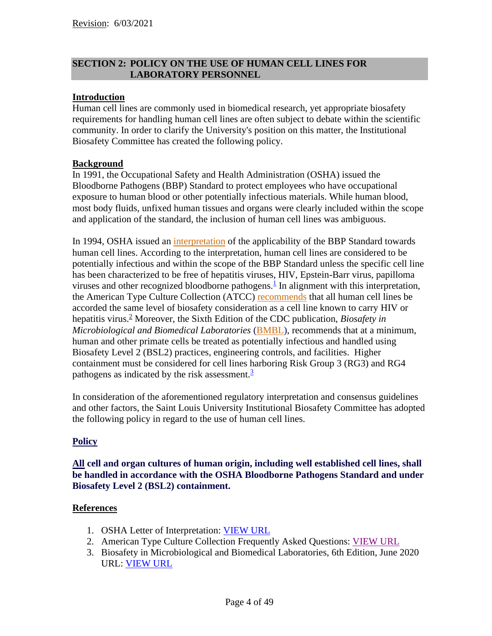# **SECTION 2: POLICY ON THE USE OF HUMAN CELL LINES FOR LABORATORY PERSONNEL**

# **Introduction**

Human cell lines are commonly used in biomedical research, yet appropriate biosafety requirements for handling human cell lines are often subject to debate within the scientific community. In order to clarify the University's position on this matter, the Institutional Biosafety Committee has created the following policy.

## **Background**

In 1991, the Occupational Safety and Health Administration (OSHA) issued the Bloodborne Pathogens (BBP) Standard to protect employees who have occupational exposure to human blood or other potentially infectious materials. While human blood, most body fluids, unfixed human tissues and organs were clearly included within the scope and application of the standard, the inclusion of human cell lines was ambiguous.

In 1994, OSHA issued an [interpretation](http://www.osha.gov/pls/oshaweb/owadisp.show_document?p_table=INTERPRETATIONS&p_id=21519) of the applicability of the BBP Standard towards human cell lines. According to the interpretation, human cell lines are considered to be potentially infectious and within the scope of the BBP Standard unless the specific cell line has been characterized to be free of hepatitis viruses, HIV, Epstein-Barr virus, papilloma viruses and other recognized bloodborne pathogens. $\frac{1}{1}$  $\frac{1}{1}$  $\frac{1}{1}$  In alignment with this interpretation, the American Type Culture Collection (ATCC) [recommends](https://www.atcc.org/en/search#q=Cells%20biosafety&sort=relevancy&numberOfResults=12x) that all human cell lines be accorded the same level of biosafety consideration as a cell line known to carry HIV or hepatitis virus. <sup>2</sup> Moreover, the Sixth Edition of the CDC publication, *Biosafety in Microbiological and Biomedical Laboratories* [\(BMBL\)](https://www.cdc.gov/labs/pdf/SF__19_308133-A_BMBL6_00-BOOK-WEB-final-3.pdf), recommends that at a minimum, human and other primate cells be treated as potentially infectious and handled using Biosafety Level 2 (BSL2) practices, engineering controls, and facilities. Higher containment must be considered for cell lines harboring Risk Group 3 (RG3) and RG4 pathogens as indicated by the risk assessment.<sup>[3](https://www.cdc.gov/labs/pdf/SF__19_308133-A_BMBL6_00-BOOK-WEB-final-3.pdf)</sup>

In consideration of the aforementioned regulatory interpretation and consensus guidelines and other factors, the Saint Louis University Institutional Biosafety Committee has adopted the following policy in regard to the use of human cell lines.

# **Policy**

**All cell and organ cultures of human origin, including well established cell lines, shall be handled in accordance with the OSHA Bloodborne Pathogens Standard and under Biosafety Level 2 (BSL2) containment.**

## **References**

- 1. OSHA Letter of Interpretation: [VIEW URL](http://www.osha.gov/pls/oshaweb/owadisp.show_document?p_table=INTERPRETATIONS&p_id=21519)
- 2. American Type Culture Collection Frequently Asked Questions: [VIEW URL](https://www.atcc.org/en/search#q=Cells%20biosafety&sort=relevancy&numberOfResults=12)
- 3. Biosafety in Microbiological and Biomedical Laboratories, 6th Edition, June 2020 URL: [VIEW URL](https://www.cdc.gov/labs/pdf/SF__19_308133-A_BMBL6_00-BOOK-WEB-final-3.pdf)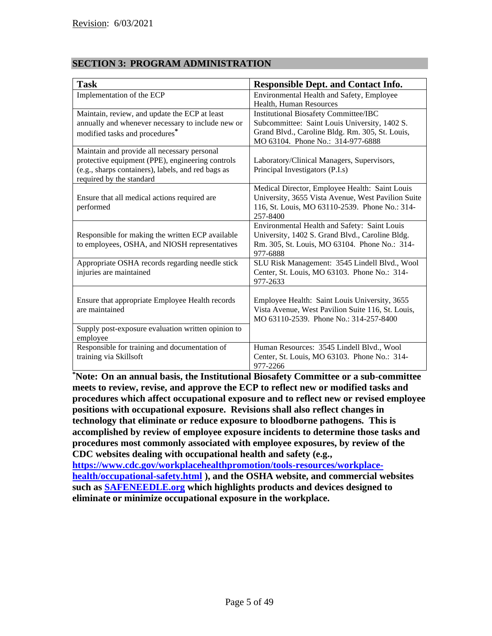# **SECTION 3: PROGRAM ADMINISTRATION**

| <b>Task</b>                                                                                                                                                                       | <b>Responsible Dept. and Contact Info.</b>                                                                                                                                            |
|-----------------------------------------------------------------------------------------------------------------------------------------------------------------------------------|---------------------------------------------------------------------------------------------------------------------------------------------------------------------------------------|
| Implementation of the ECP                                                                                                                                                         | Environmental Health and Safety, Employee<br>Health, Human Resources                                                                                                                  |
| Maintain, review, and update the ECP at least<br>annually and whenever necessary to include new or<br>modified tasks and procedures <sup>*</sup>                                  | <b>Institutional Biosafety Committee/IBC</b><br>Subcommittee: Saint Louis University, 1402 S.<br>Grand Blvd., Caroline Bldg. Rm. 305, St. Louis,<br>MO 63104. Phone No.: 314-977-6888 |
| Maintain and provide all necessary personal<br>protective equipment (PPE), engineering controls<br>(e.g., sharps containers), labels, and red bags as<br>required by the standard | Laboratory/Clinical Managers, Supervisors,<br>Principal Investigators (P.I.s)                                                                                                         |
| Ensure that all medical actions required are<br>performed                                                                                                                         | Medical Director, Employee Health: Saint Louis<br>University, 3655 Vista Avenue, West Pavilion Suite<br>116, St. Louis, MO 63110-2539. Phone No.: 314-<br>257-8400                    |
| Responsible for making the written ECP available<br>to employees, OSHA, and NIOSH representatives                                                                                 | Environmental Health and Safety: Saint Louis<br>University, 1402 S. Grand Blvd., Caroline Bldg.<br>Rm. 305, St. Louis, MO 63104. Phone No.: 314-<br>977-6888                          |
| Appropriate OSHA records regarding needle stick<br>injuries are maintained                                                                                                        | SLU Risk Management: 3545 Lindell Blvd., Wool<br>Center, St. Louis, MO 63103. Phone No.: 314-<br>977-2633                                                                             |
| Ensure that appropriate Employee Health records<br>are maintained                                                                                                                 | Employee Health: Saint Louis University, 3655<br>Vista Avenue, West Pavilion Suite 116, St. Louis,<br>MO 63110-2539. Phone No.: 314-257-8400                                          |
| Supply post-exposure evaluation written opinion to<br>employee                                                                                                                    |                                                                                                                                                                                       |
| Responsible for training and documentation of<br>training via Skillsoft                                                                                                           | Human Resources: 3545 Lindell Blvd., Wool<br>Center, St. Louis, MO 63103. Phone No.: 314-<br>977-2266                                                                                 |

**\*Note: On an annual basis, the Institutional Biosafety Committee or a sub-committee meets to review, revise, and approve the ECP to reflect new or modified tasks and procedures which affect occupational exposure and to reflect new or revised employee positions with occupational exposure. Revisions shall also reflect changes in technology that eliminate or reduce exposure to bloodborne pathogens. This is accomplished by review of employee exposure incidents to determine those tasks and procedures most commonly associated with employee exposures, by review of the CDC websites dealing with occupational health and safety (e.g., [https://www.cdc.gov/workplacehealthpromotion/tools-resources/workplace](https://www.cdc.gov/workplacehealthpromotion/tools-resources/workplace-health/occupational-safety.html)[health/occupational-safety.html](https://www.cdc.gov/workplacehealthpromotion/tools-resources/workplace-health/occupational-safety.html) ), and the OSHA website, and commercial websites such as [SAFENEEDLE.org](http://safeneedle.org/safety-needles/) which highlights products and devices designed to** 

**eliminate or minimize occupational exposure in the workplace.**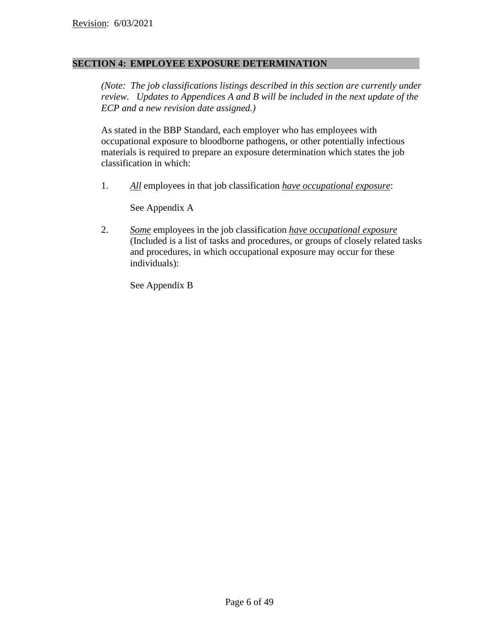## **SECTION 4: EMPLOYEE EXPOSURE DETERMINATION**

*(Note: The job classifications listings described in this section are currently under review. Updates to Appendices A and B will be included in the next update of the ECP and a new revision date assigned.)*

As stated in the BBP Standard, each employer who has employees with occupational exposure to bloodborne pathogens, or other potentially infectious materials is required to prepare an exposure determination which states the job classification in which:

1. *All* employees in that job classification *have occupational exposure*:

See Appendix A

2. *Some* employees in the job classification *have occupational exposure* (Included is a list of tasks and procedures, or groups of closely related tasks and procedures, in which occupational exposure may occur for these individuals):

See Appendix B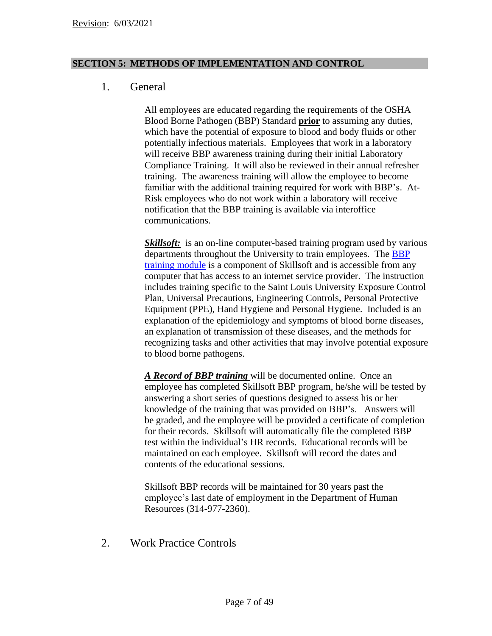## **SECTION 5: METHODS OF IMPLEMENTATION AND CONTROL**

# 1. General

All employees are educated regarding the requirements of the OSHA Blood Borne Pathogen (BBP) Standard **prior** to assuming any duties, which have the potential of exposure to blood and body fluids or other potentially infectious materials. Employees that work in a laboratory will receive BBP awareness training during their initial Laboratory Compliance Training. It will also be reviewed in their annual refresher training. The awareness training will allow the employee to become familiar with the additional training required for work with BBP's. At-Risk employees who do not work within a laboratory will receive notification that the BBP training is available via interoffice communications.

*Skillsoft:* is an on-line computer-based training program used by various departments throughout the University to train employees. The [BBP](https://slu.skillport.com/skillportfe/main.action?path=summary/COURSES/ehs_hsf_c92_sh_enus#summary/COURSES/CDE$121435:_ss_cca:ehs_hsf_c92_sh_enus)  [training module](https://slu.skillport.com/skillportfe/main.action?path=summary/COURSES/ehs_hsf_c92_sh_enus#summary/COURSES/CDE$121435:_ss_cca:ehs_hsf_c92_sh_enus) is a component of Skillsoft and is accessible from any computer that has access to an internet service provider. The instruction includes training specific to the Saint Louis University Exposure Control Plan, Universal Precautions, Engineering Controls, Personal Protective Equipment (PPE), Hand Hygiene and Personal Hygiene. Included is an explanation of the epidemiology and symptoms of blood borne diseases, an explanation of transmission of these diseases, and the methods for recognizing tasks and other activities that may involve potential exposure to blood borne pathogens.

*A Record of BBP training* will be documented online. Once an employee has completed Skillsoft BBP program, he/she will be tested by answering a short series of questions designed to assess his or her knowledge of the training that was provided on BBP's. Answers will be graded, and the employee will be provided a certificate of completion for their records. Skillsoft will automatically file the completed BBP test within the individual's HR records. Educational records will be maintained on each employee. Skillsoft will record the dates and contents of the educational sessions.

Skillsoft BBP records will be maintained for 30 years past the employee's last date of employment in the Department of Human Resources (314-977-2360).

2. Work Practice Controls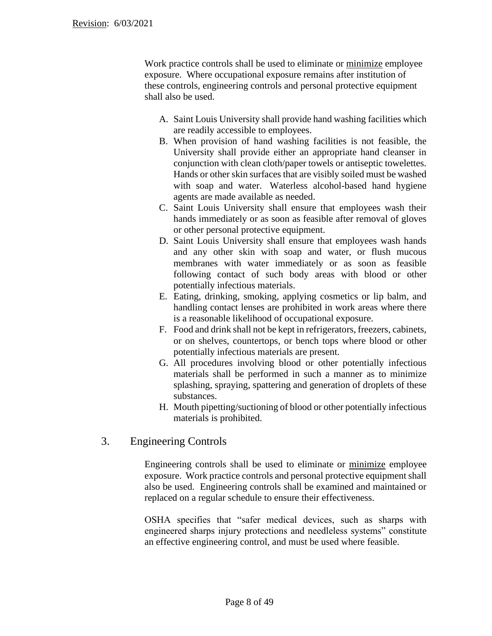Work practice controls shall be used to eliminate or minimize employee exposure. Where occupational exposure remains after institution of these controls, engineering controls and personal protective equipment shall also be used.

- A. Saint Louis University shall provide hand washing facilities which are readily accessible to employees.
- B. When provision of hand washing facilities is not feasible, the University shall provide either an appropriate hand cleanser in conjunction with clean cloth/paper towels or antiseptic towelettes. Hands or other skin surfaces that are visibly soiled must be washed with soap and water. Waterless alcohol-based hand hygiene agents are made available as needed.
- C. Saint Louis University shall ensure that employees wash their hands immediately or as soon as feasible after removal of gloves or other personal protective equipment.
- D. Saint Louis University shall ensure that employees wash hands and any other skin with soap and water, or flush mucous membranes with water immediately or as soon as feasible following contact of such body areas with blood or other potentially infectious materials.
- E. Eating, drinking, smoking, applying cosmetics or lip balm, and handling contact lenses are prohibited in work areas where there is a reasonable likelihood of occupational exposure.
- F. Food and drink shall not be kept in refrigerators, freezers, cabinets, or on shelves, countertops, or bench tops where blood or other potentially infectious materials are present.
- G. All procedures involving blood or other potentially infectious materials shall be performed in such a manner as to minimize splashing, spraying, spattering and generation of droplets of these substances.
- H. Mouth pipetting/suctioning of blood or other potentially infectious materials is prohibited.

# 3. Engineering Controls

Engineering controls shall be used to eliminate or minimize employee exposure. Work practice controls and personal protective equipment shall also be used. Engineering controls shall be examined and maintained or replaced on a regular schedule to ensure their effectiveness.

OSHA specifies that "safer medical devices, such as sharps with engineered sharps injury protections and needleless systems" constitute an effective engineering control, and must be used where feasible.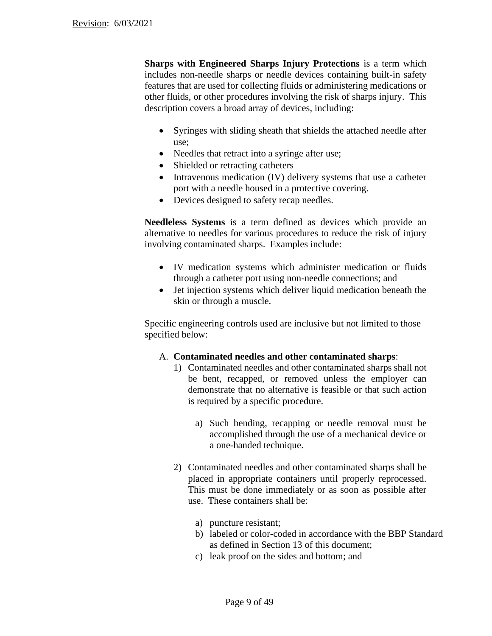**Sharps with Engineered Sharps Injury Protections** is a term which includes non-needle sharps or needle devices containing built-in safety features that are used for collecting fluids or administering medications or other fluids, or other procedures involving the risk of sharps injury. This description covers a broad array of devices, including:

- Syringes with sliding sheath that shields the attached needle after use;
- Needles that retract into a syringe after use;
- Shielded or retracting catheters
- Intravenous medication (IV) delivery systems that use a catheter port with a needle housed in a protective covering.
- Devices designed to safety recap needles.

**Needleless Systems** is a term defined as devices which provide an alternative to needles for various procedures to reduce the risk of injury involving contaminated sharps. Examples include:

- IV medication systems which administer medication or fluids through a catheter port using non-needle connections; and
- Jet injection systems which deliver liquid medication beneath the skin or through a muscle.

Specific engineering controls used are inclusive but not limited to those specified below:

## A. **Contaminated needles and other contaminated sharps**:

- 1) Contaminated needles and other contaminated sharps shall not be bent, recapped, or removed unless the employer can demonstrate that no alternative is feasible or that such action is required by a specific procedure.
	- a) Such bending, recapping or needle removal must be accomplished through the use of a mechanical device or a one-handed technique.
- 2) Contaminated needles and other contaminated sharps shall be placed in appropriate containers until properly reprocessed. This must be done immediately or as soon as possible after use. These containers shall be:
	- a) puncture resistant;
	- b) labeled or color-coded in accordance with the BBP Standard as defined in Section 13 of this document;
	- c) leak proof on the sides and bottom; and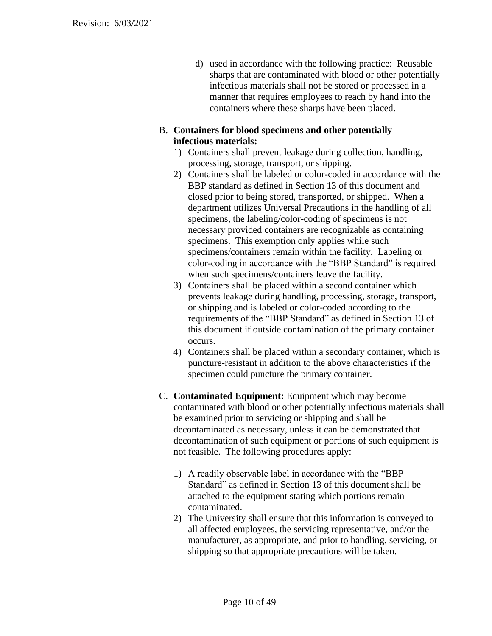d) used in accordance with the following practice: Reusable sharps that are contaminated with blood or other potentially infectious materials shall not be stored or processed in a manner that requires employees to reach by hand into the containers where these sharps have been placed.

# B. **Containers for blood specimens and other potentially infectious materials:**

- 1) Containers shall prevent leakage during collection, handling, processing, storage, transport, or shipping.
- 2) Containers shall be labeled or color-coded in accordance with the BBP standard as defined in Section 13 of this document and closed prior to being stored, transported, or shipped. When a department utilizes Universal Precautions in the handling of all specimens, the labeling/color-coding of specimens is not necessary provided containers are recognizable as containing specimens. This exemption only applies while such specimens/containers remain within the facility. Labeling or color-coding in accordance with the "BBP Standard" is required when such specimens/containers leave the facility.
- 3) Containers shall be placed within a second container which prevents leakage during handling, processing, storage, transport, or shipping and is labeled or color-coded according to the requirements of the "BBP Standard" as defined in Section 13 of this document if outside contamination of the primary container occurs.
- 4) Containers shall be placed within a secondary container, which is puncture-resistant in addition to the above characteristics if the specimen could puncture the primary container.
- C. **Contaminated Equipment:** Equipment which may become contaminated with blood or other potentially infectious materials shall be examined prior to servicing or shipping and shall be decontaminated as necessary, unless it can be demonstrated that decontamination of such equipment or portions of such equipment is not feasible. The following procedures apply:
	- 1) A readily observable label in accordance with the "BBP Standard" as defined in Section 13 of this document shall be attached to the equipment stating which portions remain contaminated.
	- 2) The University shall ensure that this information is conveyed to all affected employees, the servicing representative, and/or the manufacturer, as appropriate, and prior to handling, servicing, or shipping so that appropriate precautions will be taken.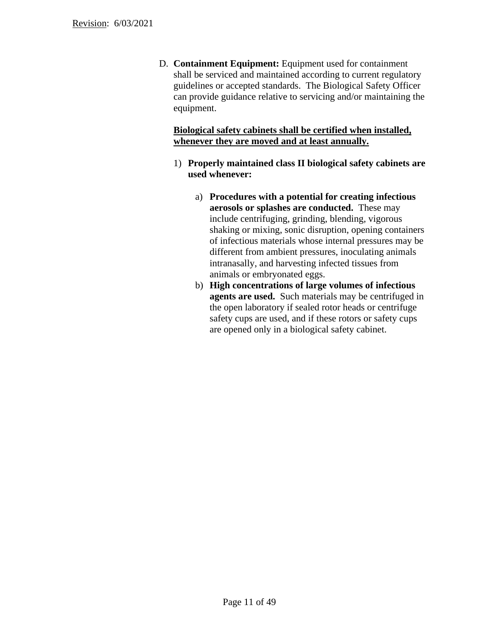D. **Containment Equipment:** Equipment used for containment shall be serviced and maintained according to current regulatory guidelines or accepted standards. The Biological Safety Officer can provide guidance relative to servicing and/or maintaining the equipment.

# **Biological safety cabinets shall be certified when installed, whenever they are moved and at least annually.**

- 1) **Properly maintained class II biological safety cabinets are used whenever:**
	- a) **Procedures with a potential for creating infectious aerosols or splashes are conducted.** These may include centrifuging, grinding, blending, vigorous shaking or mixing, sonic disruption, opening containers of infectious materials whose internal pressures may be different from ambient pressures, inoculating animals intranasally, and harvesting infected tissues from animals or embryonated eggs.
	- b) **High concentrations of large volumes of infectious agents are used.** Such materials may be centrifuged in the open laboratory if sealed rotor heads or centrifuge safety cups are used, and if these rotors or safety cups are opened only in a biological safety cabinet.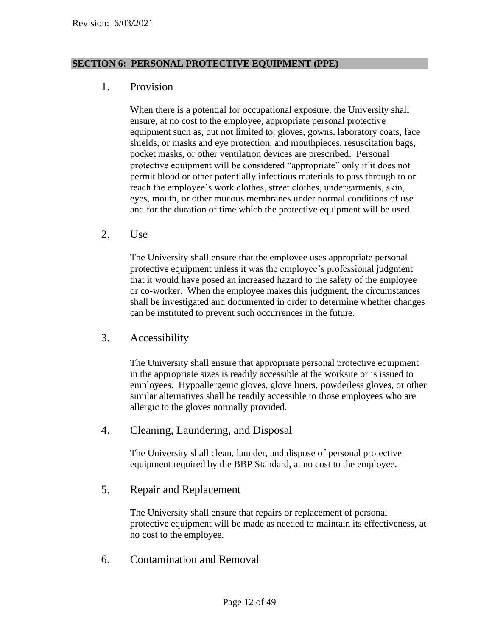## **SECTION 6: PERSONAL PROTECTIVE EQUIPMENT (PPE)**

# 1. Provision

When there is a potential for occupational exposure, the University shall ensure, at no cost to the employee, appropriate personal protective equipment such as, but not limited to, gloves, gowns, laboratory coats, face shields, or masks and eye protection, and mouthpieces, resuscitation bags, pocket masks, or other ventilation devices are prescribed. Personal protective equipment will be considered "appropriate" only if it does not permit blood or other potentially infectious materials to pass through to or reach the employee's work clothes, street clothes, undergarments, skin, eyes, mouth, or other mucous membranes under normal conditions of use and for the duration of time which the protective equipment will be used.

2. Use

The University shall ensure that the employee uses appropriate personal protective equipment unless it was the employee's professional judgment that it would have posed an increased hazard to the safety of the employee or co-worker. When the employee makes this judgment, the circumstances shall be investigated and documented in order to determine whether changes can be instituted to prevent such occurrences in the future.

3. Accessibility

The University shall ensure that appropriate personal protective equipment in the appropriate sizes is readily accessible at the worksite or is issued to employees. Hypoallergenic gloves, glove liners, powderless gloves, or other similar alternatives shall be readily accessible to those employees who are allergic to the gloves normally provided.

4. Cleaning, Laundering, and Disposal

The University shall clean, launder, and dispose of personal protective equipment required by the BBP Standard, at no cost to the employee.

5. Repair and Replacement

The University shall ensure that repairs or replacement of personal protective equipment will be made as needed to maintain its effectiveness, at no cost to the employee.

6. Contamination and Removal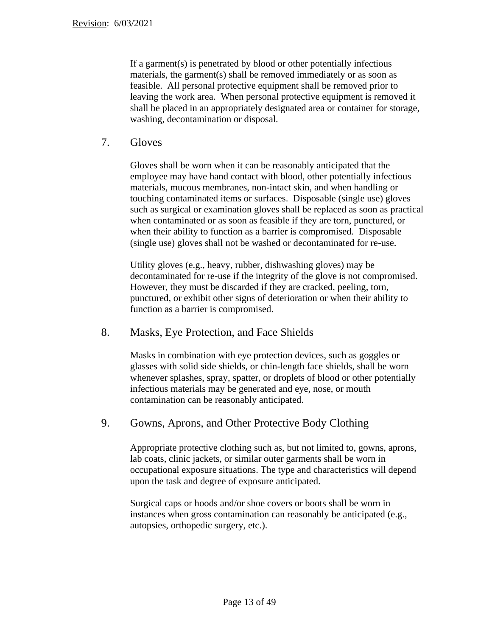If a garment(s) is penetrated by blood or other potentially infectious materials, the garment(s) shall be removed immediately or as soon as feasible. All personal protective equipment shall be removed prior to leaving the work area. When personal protective equipment is removed it shall be placed in an appropriately designated area or container for storage, washing, decontamination or disposal.

# 7. Gloves

Gloves shall be worn when it can be reasonably anticipated that the employee may have hand contact with blood, other potentially infectious materials, mucous membranes, non-intact skin, and when handling or touching contaminated items or surfaces. Disposable (single use) gloves such as surgical or examination gloves shall be replaced as soon as practical when contaminated or as soon as feasible if they are torn, punctured, or when their ability to function as a barrier is compromised. Disposable (single use) gloves shall not be washed or decontaminated for re-use.

Utility gloves (e.g., heavy, rubber, dishwashing gloves) may be decontaminated for re-use if the integrity of the glove is not compromised. However, they must be discarded if they are cracked, peeling, torn, punctured, or exhibit other signs of deterioration or when their ability to function as a barrier is compromised.

# 8. Masks, Eye Protection, and Face Shields

Masks in combination with eye protection devices, such as goggles or glasses with solid side shields, or chin-length face shields, shall be worn whenever splashes, spray, spatter, or droplets of blood or other potentially infectious materials may be generated and eye, nose, or mouth contamination can be reasonably anticipated.

# 9. Gowns, Aprons, and Other Protective Body Clothing

Appropriate protective clothing such as, but not limited to, gowns, aprons, lab coats, clinic jackets, or similar outer garments shall be worn in occupational exposure situations. The type and characteristics will depend upon the task and degree of exposure anticipated.

Surgical caps or hoods and/or shoe covers or boots shall be worn in instances when gross contamination can reasonably be anticipated (e.g., autopsies, orthopedic surgery, etc.).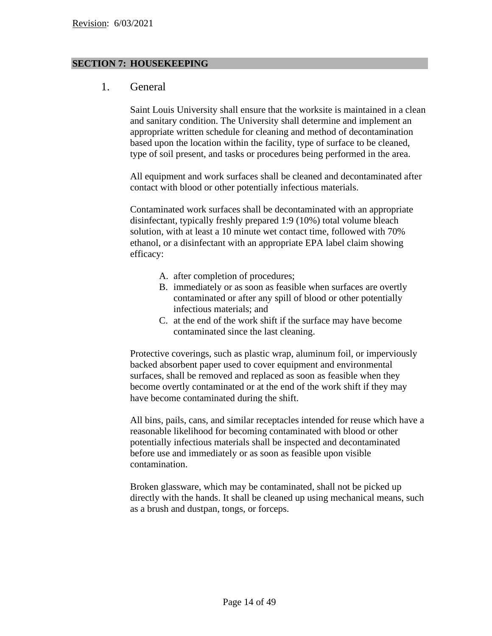### **SECTION 7: HOUSEKEEPING**

# 1. General

Saint Louis University shall ensure that the worksite is maintained in a clean and sanitary condition. The University shall determine and implement an appropriate written schedule for cleaning and method of decontamination based upon the location within the facility, type of surface to be cleaned, type of soil present, and tasks or procedures being performed in the area.

All equipment and work surfaces shall be cleaned and decontaminated after contact with blood or other potentially infectious materials.

Contaminated work surfaces shall be decontaminated with an appropriate disinfectant, typically freshly prepared 1:9 (10%) total volume bleach solution, with at least a 10 minute wet contact time, followed with 70% ethanol, or a disinfectant with an appropriate EPA label claim showing efficacy:

- A. after completion of procedures;
- B. immediately or as soon as feasible when surfaces are overtly contaminated or after any spill of blood or other potentially infectious materials; and
- C. at the end of the work shift if the surface may have become contaminated since the last cleaning.

Protective coverings, such as plastic wrap, aluminum foil, or imperviously backed absorbent paper used to cover equipment and environmental surfaces, shall be removed and replaced as soon as feasible when they become overtly contaminated or at the end of the work shift if they may have become contaminated during the shift.

All bins, pails, cans, and similar receptacles intended for reuse which have a reasonable likelihood for becoming contaminated with blood or other potentially infectious materials shall be inspected and decontaminated before use and immediately or as soon as feasible upon visible contamination.

Broken glassware, which may be contaminated, shall not be picked up directly with the hands. It shall be cleaned up using mechanical means, such as a brush and dustpan, tongs, or forceps.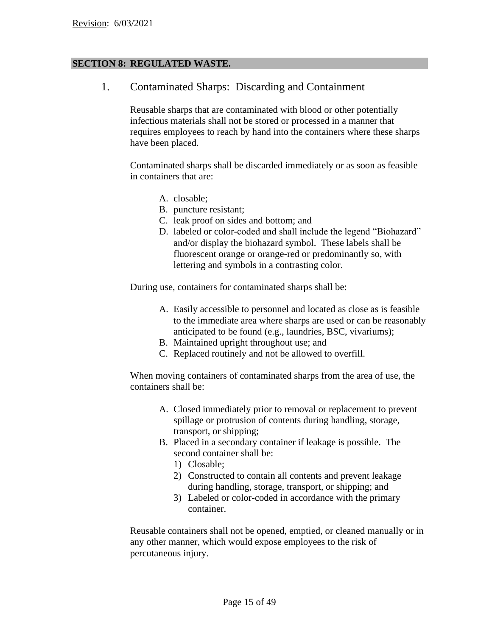## **SECTION 8: REGULATED WASTE.**

1. Contaminated Sharps: Discarding and Containment

Reusable sharps that are contaminated with blood or other potentially infectious materials shall not be stored or processed in a manner that requires employees to reach by hand into the containers where these sharps have been placed.

Contaminated sharps shall be discarded immediately or as soon as feasible in containers that are:

- A. closable;
- B. puncture resistant;
- C. leak proof on sides and bottom; and
- D. labeled or color-coded and shall include the legend "Biohazard" and/or display the biohazard symbol. These labels shall be fluorescent orange or orange-red or predominantly so, with lettering and symbols in a contrasting color.

During use, containers for contaminated sharps shall be:

- A. Easily accessible to personnel and located as close as is feasible to the immediate area where sharps are used or can be reasonably anticipated to be found (e.g., laundries, BSC, vivariums);
- B. Maintained upright throughout use; and
- C. Replaced routinely and not be allowed to overfill.

When moving containers of contaminated sharps from the area of use, the containers shall be:

- A. Closed immediately prior to removal or replacement to prevent spillage or protrusion of contents during handling, storage, transport, or shipping;
- B. Placed in a secondary container if leakage is possible. The second container shall be:
	- 1) Closable;
	- 2) Constructed to contain all contents and prevent leakage during handling, storage, transport, or shipping; and
	- 3) Labeled or color-coded in accordance with the primary container.

Reusable containers shall not be opened, emptied, or cleaned manually or in any other manner, which would expose employees to the risk of percutaneous injury.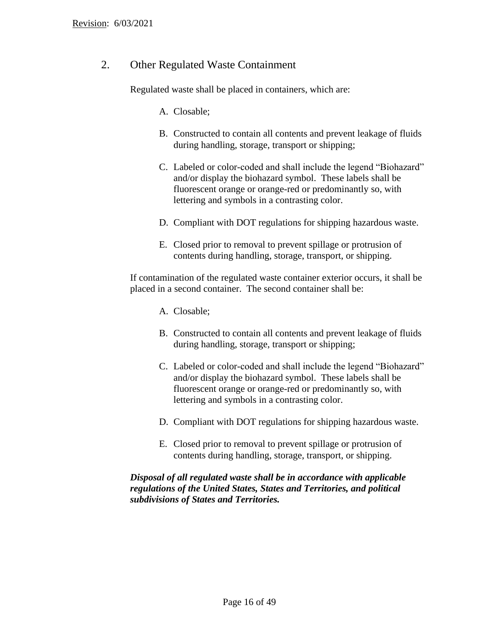# 2. Other Regulated Waste Containment

Regulated waste shall be placed in containers, which are:

A. Closable;

- B. Constructed to contain all contents and prevent leakage of fluids during handling, storage, transport or shipping;
- C. Labeled or color-coded and shall include the legend "Biohazard" and/or display the biohazard symbol. These labels shall be fluorescent orange or orange-red or predominantly so, with lettering and symbols in a contrasting color.
- D. Compliant with DOT regulations for shipping hazardous waste.
- E. Closed prior to removal to prevent spillage or protrusion of contents during handling, storage, transport, or shipping.

If contamination of the regulated waste container exterior occurs, it shall be placed in a second container. The second container shall be:

- A. Closable;
- B. Constructed to contain all contents and prevent leakage of fluids during handling, storage, transport or shipping;
- C. Labeled or color-coded and shall include the legend "Biohazard" and/or display the biohazard symbol. These labels shall be fluorescent orange or orange-red or predominantly so, with lettering and symbols in a contrasting color.
- D. Compliant with DOT regulations for shipping hazardous waste.
- E. Closed prior to removal to prevent spillage or protrusion of contents during handling, storage, transport, or shipping.

## *Disposal of all regulated waste shall be in accordance with applicable regulations of the United States, States and Territories, and political subdivisions of States and Territories.*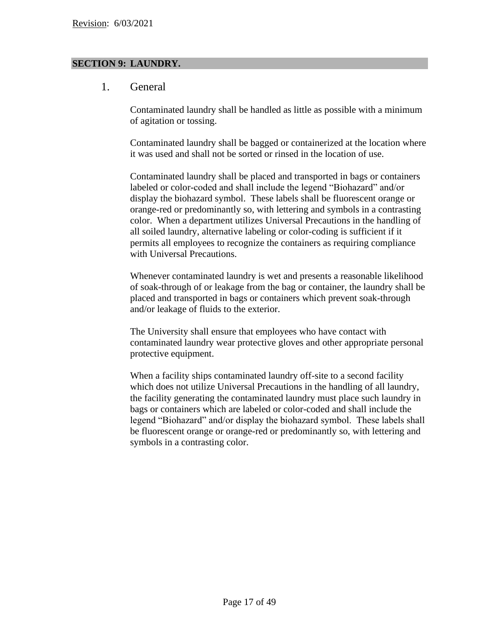## **SECTION 9: LAUNDRY.**

# 1. General

Contaminated laundry shall be handled as little as possible with a minimum of agitation or tossing.

Contaminated laundry shall be bagged or containerized at the location where it was used and shall not be sorted or rinsed in the location of use.

Contaminated laundry shall be placed and transported in bags or containers labeled or color-coded and shall include the legend "Biohazard" and/or display the biohazard symbol. These labels shall be fluorescent orange or orange-red or predominantly so, with lettering and symbols in a contrasting color. When a department utilizes Universal Precautions in the handling of all soiled laundry, alternative labeling or color-coding is sufficient if it permits all employees to recognize the containers as requiring compliance with Universal Precautions.

Whenever contaminated laundry is wet and presents a reasonable likelihood of soak-through of or leakage from the bag or container, the laundry shall be placed and transported in bags or containers which prevent soak-through and/or leakage of fluids to the exterior.

The University shall ensure that employees who have contact with contaminated laundry wear protective gloves and other appropriate personal protective equipment.

When a facility ships contaminated laundry off-site to a second facility which does not utilize Universal Precautions in the handling of all laundry, the facility generating the contaminated laundry must place such laundry in bags or containers which are labeled or color-coded and shall include the legend "Biohazard" and/or display the biohazard symbol. These labels shall be fluorescent orange or orange-red or predominantly so, with lettering and symbols in a contrasting color.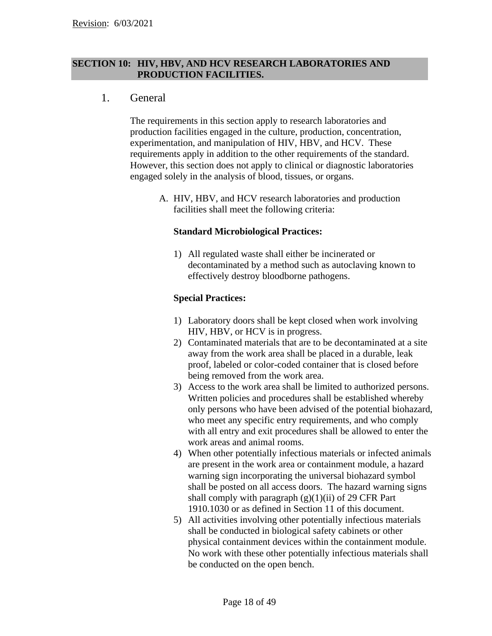## **SECTION 10: HIV, HBV, AND HCV RESEARCH LABORATORIES AND PRODUCTION FACILITIES.**

# 1. General

The requirements in this section apply to research laboratories and production facilities engaged in the culture, production, concentration, experimentation, and manipulation of HIV, HBV, and HCV. These requirements apply in addition to the other requirements of the standard. However, this section does not apply to clinical or diagnostic laboratories engaged solely in the analysis of blood, tissues, or organs.

A. HIV, HBV, and HCV research laboratories and production facilities shall meet the following criteria:

#### **Standard Microbiological Practices:**

1) All regulated waste shall either be incinerated or decontaminated by a method such as autoclaving known to effectively destroy bloodborne pathogens.

## **Special Practices:**

- 1) Laboratory doors shall be kept closed when work involving HIV, HBV, or HCV is in progress.
- 2) Contaminated materials that are to be decontaminated at a site away from the work area shall be placed in a durable, leak proof, labeled or color-coded container that is closed before being removed from the work area.
- 3) Access to the work area shall be limited to authorized persons. Written policies and procedures shall be established whereby only persons who have been advised of the potential biohazard, who meet any specific entry requirements, and who comply with all entry and exit procedures shall be allowed to enter the work areas and animal rooms.
- 4) When other potentially infectious materials or infected animals are present in the work area or containment module, a hazard warning sign incorporating the universal biohazard symbol shall be posted on all access doors. The hazard warning signs shall comply with paragraph  $(g)(1)(ii)$  of 29 CFR Part 1910.1030 or as defined in Section 11 of this document.
- 5) All activities involving other potentially infectious materials shall be conducted in biological safety cabinets or other physical containment devices within the containment module. No work with these other potentially infectious materials shall be conducted on the open bench.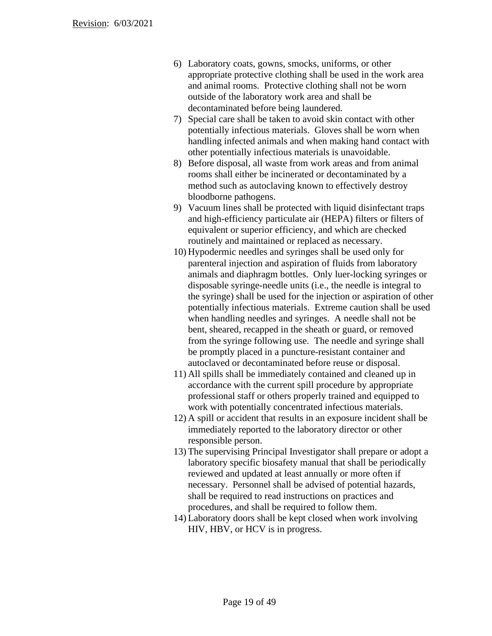- 6) Laboratory coats, gowns, smocks, uniforms, or other appropriate protective clothing shall be used in the work area and animal rooms. Protective clothing shall not be worn outside of the laboratory work area and shall be decontaminated before being laundered.
- 7) Special care shall be taken to avoid skin contact with other potentially infectious materials. Gloves shall be worn when handling infected animals and when making hand contact with other potentially infectious materials is unavoidable.
- 8) Before disposal, all waste from work areas and from animal rooms shall either be incinerated or decontaminated by a method such as autoclaving known to effectively destroy bloodborne pathogens.
- 9) Vacuum lines shall be protected with liquid disinfectant traps and high-efficiency particulate air (HEPA) filters or filters of equivalent or superior efficiency, and which are checked routinely and maintained or replaced as necessary.
- 10) Hypodermic needles and syringes shall be used only for parenteral injection and aspiration of fluids from laboratory animals and diaphragm bottles. Only luer-locking syringes or disposable syringe-needle units (i.e., the needle is integral to the syringe) shall be used for the injection or aspiration of other potentially infectious materials. Extreme caution shall be used when handling needles and syringes. A needle shall not be bent, sheared, recapped in the sheath or guard, or removed from the syringe following use. The needle and syringe shall be promptly placed in a puncture-resistant container and autoclaved or decontaminated before reuse or disposal.
- 11) All spills shall be immediately contained and cleaned up in accordance with the current spill procedure by appropriate professional staff or others properly trained and equipped to work with potentially concentrated infectious materials.
- 12) A spill or accident that results in an exposure incident shall be immediately reported to the laboratory director or other responsible person.
- 13) The supervising Principal Investigator shall prepare or adopt a laboratory specific biosafety manual that shall be periodically reviewed and updated at least annually or more often if necessary. Personnel shall be advised of potential hazards, shall be required to read instructions on practices and procedures, and shall be required to follow them.
- 14) Laboratory doors shall be kept closed when work involving HIV, HBV, or HCV is in progress.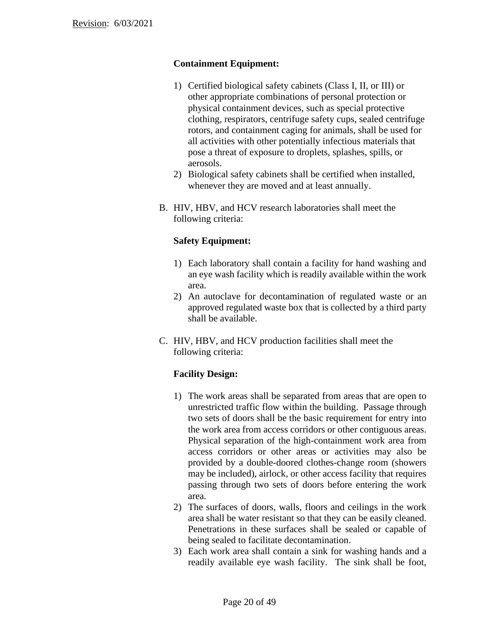## **Containment Equipment:**

- 1) Certified biological safety cabinets (Class I, II, or III) or other appropriate combinations of personal protection or physical containment devices, such as special protective clothing, respirators, centrifuge safety cups, sealed centrifuge rotors, and containment caging for animals, shall be used for all activities with other potentially infectious materials that pose a threat of exposure to droplets, splashes, spills, or aerosols.
- 2) Biological safety cabinets shall be certified when installed, whenever they are moved and at least annually.
- B. HIV, HBV, and HCV research laboratories shall meet the following criteria:

# **Safety Equipment:**

- 1) Each laboratory shall contain a facility for hand washing and an eye wash facility which is readily available within the work area.
- 2) An autoclave for decontamination of regulated waste or an approved regulated waste box that is collected by a third party shall be available.
- C. HIV, HBV, and HCV production facilities shall meet the following criteria:

# **Facility Design:**

- 1) The work areas shall be separated from areas that are open to unrestricted traffic flow within the building. Passage through two sets of doors shall be the basic requirement for entry into the work area from access corridors or other contiguous areas. Physical separation of the high-containment work area from access corridors or other areas or activities may also be provided by a double-doored clothes-change room (showers may be included), airlock, or other access facility that requires passing through two sets of doors before entering the work area.
- 2) The surfaces of doors, walls, floors and ceilings in the work area shall be water resistant so that they can be easily cleaned. Penetrations in these surfaces shall be sealed or capable of being sealed to facilitate decontamination.
- 3) Each work area shall contain a sink for washing hands and a readily available eye wash facility. The sink shall be foot,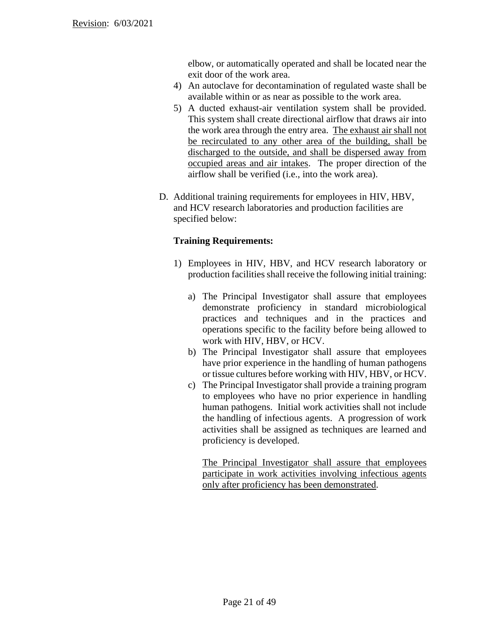elbow, or automatically operated and shall be located near the exit door of the work area.

- 4) An autoclave for decontamination of regulated waste shall be available within or as near as possible to the work area.
- 5) A ducted exhaust-air ventilation system shall be provided. This system shall create directional airflow that draws air into the work area through the entry area. The exhaust air shall not be recirculated to any other area of the building, shall be discharged to the outside, and shall be dispersed away from occupied areas and air intakes. The proper direction of the airflow shall be verified (i.e., into the work area).
- D. Additional training requirements for employees in HIV, HBV, and HCV research laboratories and production facilities are specified below:

## **Training Requirements:**

- 1) Employees in HIV, HBV, and HCV research laboratory or production facilities shall receive the following initial training:
	- a) The Principal Investigator shall assure that employees demonstrate proficiency in standard microbiological practices and techniques and in the practices and operations specific to the facility before being allowed to work with HIV, HBV, or HCV.
	- b) The Principal Investigator shall assure that employees have prior experience in the handling of human pathogens or tissue cultures before working with HIV, HBV, or HCV.
	- c) The Principal Investigator shall provide a training program to employees who have no prior experience in handling human pathogens. Initial work activities shall not include the handling of infectious agents. A progression of work activities shall be assigned as techniques are learned and proficiency is developed.

The Principal Investigator shall assure that employees participate in work activities involving infectious agents only after proficiency has been demonstrated.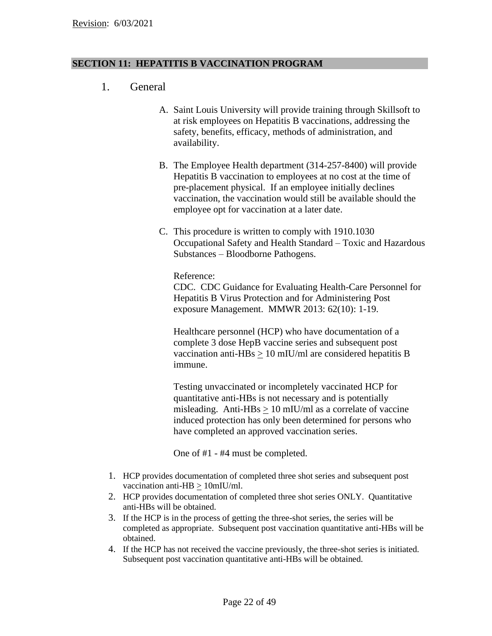## **SECTION 11: HEPATITIS B VACCINATION PROGRAM**

- 1. General
	- A. Saint Louis University will provide training through Skillsoft to at risk employees on Hepatitis B vaccinations, addressing the safety, benefits, efficacy, methods of administration, and availability.
	- B. The Employee Health department (314-257-8400) will provide Hepatitis B vaccination to employees at no cost at the time of pre-placement physical. If an employee initially declines vaccination, the vaccination would still be available should the employee opt for vaccination at a later date.
	- C. This procedure is written to comply with 1910.1030 Occupational Safety and Health Standard – Toxic and Hazardous Substances – Bloodborne Pathogens.

Reference:

CDC. CDC Guidance for Evaluating Health-Care Personnel for Hepatitis B Virus Protection and for Administering Post exposure Management. MMWR 2013: 62(10): 1-19.

Healthcare personnel (HCP) who have documentation of a complete 3 dose HepB vaccine series and subsequent post vaccination anti-HBs > 10 mIU/ml are considered hepatitis B immune.

Testing unvaccinated or incompletely vaccinated HCP for quantitative anti-HBs is not necessary and is potentially misleading. Anti-HBs  $> 10$  mIU/ml as a correlate of vaccine induced protection has only been determined for persons who have completed an approved vaccination series.

One of #1 - #4 must be completed.

- 1. HCP provides documentation of completed three shot series and subsequent post vaccination anti-HB  $\geq 10$ mIU/ml.
- 2. HCP provides documentation of completed three shot series ONLY. Quantitative anti-HBs will be obtained.
- 3. If the HCP is in the process of getting the three-shot series, the series will be completed as appropriate. Subsequent post vaccination quantitative anti-HBs will be obtained.
- 4. If the HCP has not received the vaccine previously, the three-shot series is initiated. Subsequent post vaccination quantitative anti-HBs will be obtained.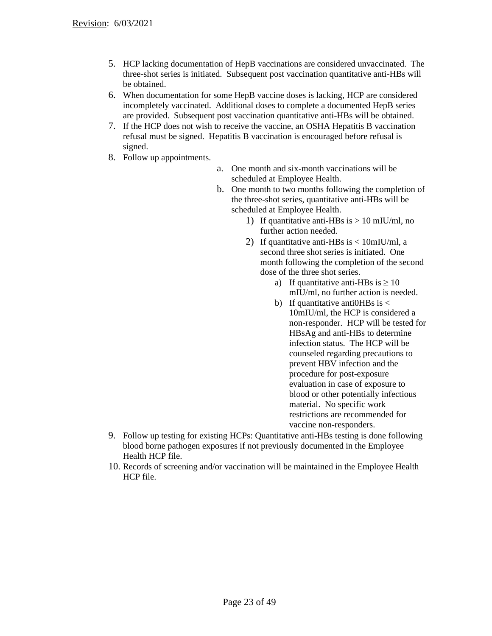- 5. HCP lacking documentation of HepB vaccinations are considered unvaccinated. The three-shot series is initiated. Subsequent post vaccination quantitative anti-HBs will be obtained.
- 6. When documentation for some HepB vaccine doses is lacking, HCP are considered incompletely vaccinated. Additional doses to complete a documented HepB series are provided. Subsequent post vaccination quantitative anti-HBs will be obtained.
- 7. If the HCP does not wish to receive the vaccine, an OSHA Hepatitis B vaccination refusal must be signed. Hepatitis B vaccination is encouraged before refusal is signed.
- 8. Follow up appointments.
- a. One month and six-month vaccinations will be scheduled at Employee Health.
- b. One month to two months following the completion of the three-shot series, quantitative anti-HBs will be scheduled at Employee Health.
	- 1) If quantitative anti-HBs is  $> 10$  mIU/ml, no further action needed.
	- 2) If quantitative anti-HBs is  $< 10$ mIU/ml, a second three shot series is initiated. One month following the completion of the second dose of the three shot series.
		- a) If quantitative anti-HBs is  $\geq 10$ mIU/ml, no further action is needed.
		- b) If quantitative antions is  $\lt$ 10mIU/ml, the HCP is considered a non-responder. HCP will be tested for HBsAg and anti-HBs to determine infection status. The HCP will be counseled regarding precautions to prevent HBV infection and the procedure for post-exposure evaluation in case of exposure to blood or other potentially infectious material. No specific work restrictions are recommended for vaccine non-responders.
- 9. Follow up testing for existing HCPs: Quantitative anti-HBs testing is done following blood borne pathogen exposures if not previously documented in the Employee Health HCP file.
- 10. Records of screening and/or vaccination will be maintained in the Employee Health HCP file.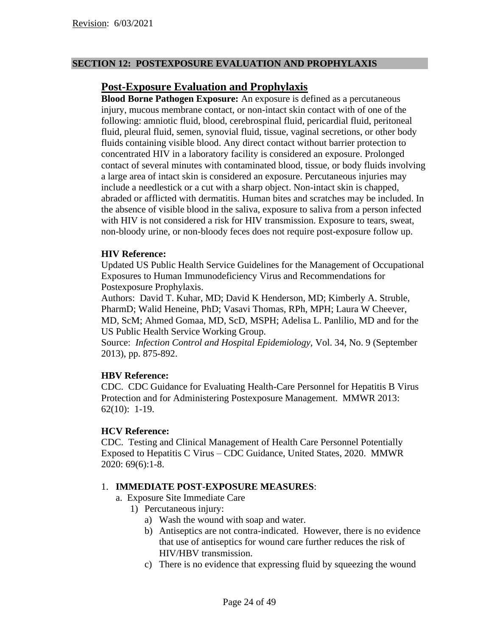## **SECTION 12: POSTEXPOSURE EVALUATION AND PROPHYLAXIS**

# **Post-Exposure Evaluation and Prophylaxis**

**Blood Borne Pathogen Exposure:** An exposure is defined as a percutaneous injury, mucous membrane contact, or non-intact skin contact with of one of the following: amniotic fluid, blood, cerebrospinal fluid, pericardial fluid, peritoneal fluid, pleural fluid, semen, synovial fluid, tissue, vaginal secretions, or other body fluids containing visible blood. Any direct contact without barrier protection to concentrated HIV in a laboratory facility is considered an exposure. Prolonged contact of several minutes with contaminated blood, tissue, or body fluids involving a large area of intact skin is considered an exposure. Percutaneous injuries may include a needlestick or a cut with a sharp object. Non-intact skin is chapped, abraded or afflicted with dermatitis. Human bites and scratches may be included. In the absence of visible blood in the saliva, exposure to saliva from a person infected with HIV is not considered a risk for HIV transmission. Exposure to tears, sweat, non-bloody urine, or non-bloody feces does not require post-exposure follow up.

## **HIV Reference:**

Updated US Public Health Service Guidelines for the Management of Occupational Exposures to Human Immunodeficiency Virus and Recommendations for Postexposure Prophylaxis.

Authors: David T. Kuhar, MD; David K Henderson, MD; Kimberly A. Struble, PharmD; Walid Heneine, PhD; Vasavi Thomas, RPh, MPH; Laura W Cheever, MD, ScM; Ahmed Gomaa, MD, ScD, MSPH; Adelisa L. Panlilio, MD and for the US Public Health Service Working Group.

Source: *Infection Control and Hospital Epidemiology,* Vol. 34, No. 9 (September 2013), pp. 875-892.

## **HBV Reference:**

CDC. CDC Guidance for Evaluating Health-Care Personnel for Hepatitis B Virus Protection and for Administering Postexposure Management. MMWR 2013: 62(10): 1-19.

#### **HCV Reference:**

CDC. Testing and Clinical Management of Health Care Personnel Potentially Exposed to Hepatitis C Virus – CDC Guidance, United States, 2020. MMWR 2020: 69(6):1-8.

## 1. **IMMEDIATE POST-EXPOSURE MEASURES**:

- a. Exposure Site Immediate Care
	- 1) Percutaneous injury:
		- a) Wash the wound with soap and water.
		- b) Antiseptics are not contra-indicated. However, there is no evidence that use of antiseptics for wound care further reduces the risk of HIV/HBV transmission.
		- c) There is no evidence that expressing fluid by squeezing the wound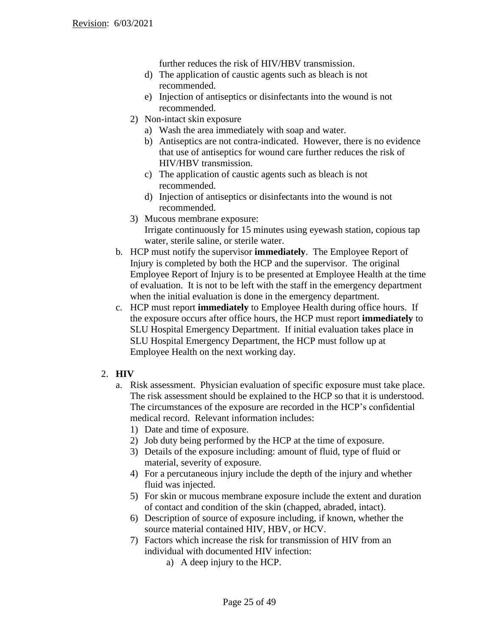further reduces the risk of HIV/HBV transmission.

- d) The application of caustic agents such as bleach is not recommended.
- e) Injection of antiseptics or disinfectants into the wound is not recommended.
- 2) Non-intact skin exposure
	- a) Wash the area immediately with soap and water.
	- b) Antiseptics are not contra-indicated. However, there is no evidence that use of antiseptics for wound care further reduces the risk of HIV/HBV transmission.
	- c) The application of caustic agents such as bleach is not recommended.
	- d) Injection of antiseptics or disinfectants into the wound is not recommended.
- 3) Mucous membrane exposure: Irrigate continuously for 15 minutes using eyewash station, copious tap water, sterile saline, or sterile water.
- b. HCP must notify the supervisor **immediately**. The Employee Report of Injury is completed by both the HCP and the supervisor. The original Employee Report of Injury is to be presented at Employee Health at the time of evaluation. It is not to be left with the staff in the emergency department when the initial evaluation is done in the emergency department.
- c. HCP must report **immediately** to Employee Health during office hours. If the exposure occurs after office hours, the HCP must report **immediately** to SLU Hospital Emergency Department. If initial evaluation takes place in SLU Hospital Emergency Department, the HCP must follow up at Employee Health on the next working day.

# 2. **HIV**

- a. Risk assessment. Physician evaluation of specific exposure must take place. The risk assessment should be explained to the HCP so that it is understood. The circumstances of the exposure are recorded in the HCP's confidential medical record. Relevant information includes:
	- 1) Date and time of exposure.
	- 2) Job duty being performed by the HCP at the time of exposure.
	- 3) Details of the exposure including: amount of fluid, type of fluid or material, severity of exposure.
	- 4) For a percutaneous injury include the depth of the injury and whether fluid was injected.
	- 5) For skin or mucous membrane exposure include the extent and duration of contact and condition of the skin (chapped, abraded, intact).
	- 6) Description of source of exposure including, if known, whether the source material contained HIV, HBV, or HCV.
	- 7) Factors which increase the risk for transmission of HIV from an individual with documented HIV infection:
		- a) A deep injury to the HCP.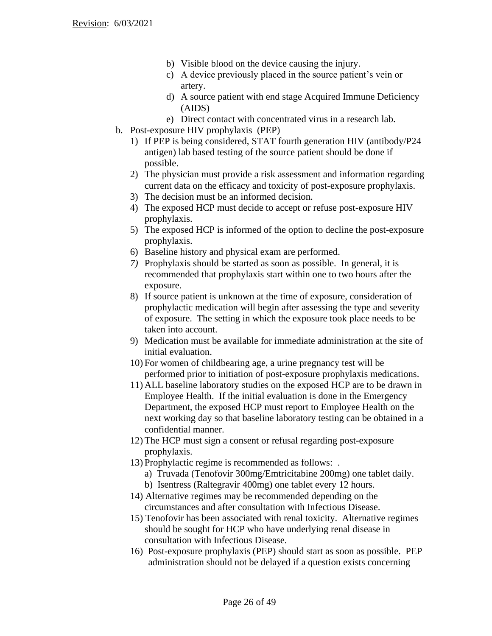- b) Visible blood on the device causing the injury.
- c) A device previously placed in the source patient's vein or artery.
- d) A source patient with end stage Acquired Immune Deficiency (AIDS)
- e) Direct contact with concentrated virus in a research lab.
- b. Post-exposure HIV prophylaxis (PEP)
	- 1) If PEP is being considered, STAT fourth generation HIV (antibody/P24 antigen) lab based testing of the source patient should be done if possible.
	- 2) The physician must provide a risk assessment and information regarding current data on the efficacy and toxicity of post-exposure prophylaxis.
	- 3) The decision must be an informed decision.
	- 4) The exposed HCP must decide to accept or refuse post-exposure HIV prophylaxis.
	- 5) The exposed HCP is informed of the option to decline the post-exposure prophylaxis.
	- 6) Baseline history and physical exam are performed.
	- *7)* Prophylaxis should be started as soon as possible. In general, it is recommended that prophylaxis start within one to two hours after the exposure.
	- 8) If source patient is unknown at the time of exposure, consideration of prophylactic medication will begin after assessing the type and severity of exposure. The setting in which the exposure took place needs to be taken into account.
	- 9) Medication must be available for immediate administration at the site of initial evaluation.
	- 10) For women of childbearing age, a urine pregnancy test will be performed prior to initiation of post-exposure prophylaxis medications.
	- 11) ALL baseline laboratory studies on the exposed HCP are to be drawn in Employee Health. If the initial evaluation is done in the Emergency Department, the exposed HCP must report to Employee Health on the next working day so that baseline laboratory testing can be obtained in a confidential manner.
	- 12) The HCP must sign a consent or refusal regarding post-exposure prophylaxis.
	- 13) Prophylactic regime is recommended as follows: .
		- a) Truvada (Tenofovir 300mg/Emtricitabine 200mg) one tablet daily.
		- b) Isentress (Raltegravir 400mg) one tablet every 12 hours.
	- 14) Alternative regimes may be recommended depending on the circumstances and after consultation with Infectious Disease.
	- 15) Tenofovir has been associated with renal toxicity. Alternative regimes should be sought for HCP who have underlying renal disease in consultation with Infectious Disease.
	- 16) Post-exposure prophylaxis (PEP) should start as soon as possible. PEP administration should not be delayed if a question exists concerning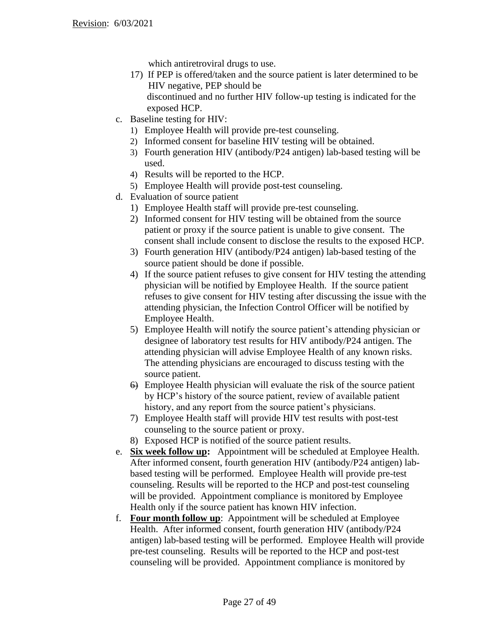which antiretroviral drugs to use.

- 17) If PEP is offered/taken and the source patient is later determined to be HIV negative, PEP should be discontinued and no further HIV follow-up testing is indicated for the exposed HCP.
- c. Baseline testing for HIV:
	- 1) Employee Health will provide pre-test counseling.
	- 2) Informed consent for baseline HIV testing will be obtained.
	- 3) Fourth generation HIV (antibody/P24 antigen) lab-based testing will be used.
	- 4) Results will be reported to the HCP.
	- 5) Employee Health will provide post-test counseling.
- d. Evaluation of source patient
	- 1) Employee Health staff will provide pre-test counseling.
	- 2) Informed consent for HIV testing will be obtained from the source patient or proxy if the source patient is unable to give consent. The consent shall include consent to disclose the results to the exposed HCP.
	- 3) Fourth generation HIV (antibody/P24 antigen) lab-based testing of the source patient should be done if possible.
	- 4) If the source patient refuses to give consent for HIV testing the attending physician will be notified by Employee Health. If the source patient refuses to give consent for HIV testing after discussing the issue with the attending physician, the Infection Control Officer will be notified by Employee Health.
	- 5) Employee Health will notify the source patient's attending physician or designee of laboratory test results for HIV antibody/P24 antigen. The attending physician will advise Employee Health of any known risks. The attending physicians are encouraged to discuss testing with the source patient.
	- 6) Employee Health physician will evaluate the risk of the source patient by HCP's history of the source patient, review of available patient history, and any report from the source patient's physicians.
	- 7) Employee Health staff will provide HIV test results with post-test counseling to the source patient or proxy.
	- 8) Exposed HCP is notified of the source patient results.
- e. **Six week follow up:** Appointment will be scheduled at Employee Health. After informed consent, fourth generation HIV (antibody/P24 antigen) labbased testing will be performed. Employee Health will provide pre-test counseling. Results will be reported to the HCP and post-test counseling will be provided. Appointment compliance is monitored by Employee Health only if the source patient has known HIV infection.
- f. **Four month follow up**: Appointment will be scheduled at Employee Health. After informed consent, fourth generation HIV (antibody/P24 antigen) lab-based testing will be performed. Employee Health will provide pre-test counseling. Results will be reported to the HCP and post-test counseling will be provided. Appointment compliance is monitored by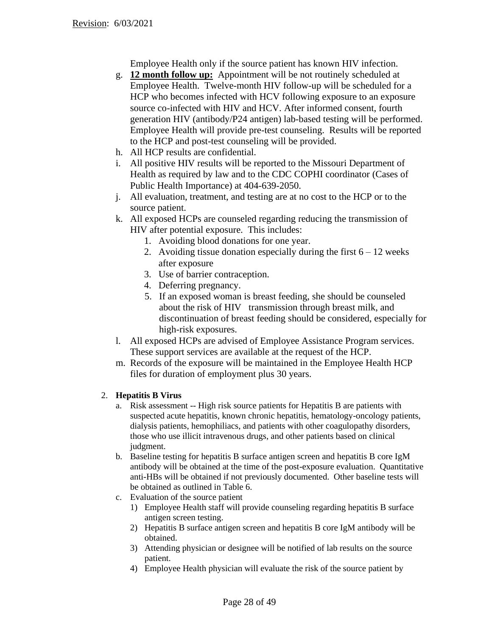Employee Health only if the source patient has known HIV infection.

- g. **12 month follow up:** Appointment will be not routinely scheduled at Employee Health. Twelve-month HIV follow-up will be scheduled for a HCP who becomes infected with HCV following exposure to an exposure source co-infected with HIV and HCV. After informed consent, fourth generation HIV (antibody/P24 antigen) lab-based testing will be performed. Employee Health will provide pre-test counseling. Results will be reported to the HCP and post-test counseling will be provided.
- h. All HCP results are confidential.
- i. All positive HIV results will be reported to the Missouri Department of Health as required by law and to the CDC COPHI coordinator (Cases of Public Health Importance) at 404-639-2050.
- j. All evaluation, treatment, and testing are at no cost to the HCP or to the source patient.
- k. All exposed HCPs are counseled regarding reducing the transmission of HIV after potential exposure. This includes:
	- 1. Avoiding blood donations for one year.
	- 2. Avoiding tissue donation especially during the first  $6 12$  weeks after exposure
	- 3. Use of barrier contraception.
	- 4. Deferring pregnancy.
	- 5. If an exposed woman is breast feeding, she should be counseled about the risk of HIV transmission through breast milk, and discontinuation of breast feeding should be considered, especially for high-risk exposures.
- l. All exposed HCPs are advised of Employee Assistance Program services. These support services are available at the request of the HCP.
- m. Records of the exposure will be maintained in the Employee Health HCP files for duration of employment plus 30 years.

## 2. **Hepatitis B Virus**

- a. Risk assessment -- High risk source patients for Hepatitis B are patients with suspected acute hepatitis, known chronic hepatitis, hematology-oncology patients, dialysis patients, hemophiliacs, and patients with other coagulopathy disorders, those who use illicit intravenous drugs, and other patients based on clinical judgment.
- b. Baseline testing for hepatitis B surface antigen screen and hepatitis B core IgM antibody will be obtained at the time of the post-exposure evaluation. Quantitative anti-HBs will be obtained if not previously documented. Other baseline tests will be obtained as outlined in Table 6.
- c. Evaluation of the source patient
	- 1) Employee Health staff will provide counseling regarding hepatitis B surface antigen screen testing.
	- 2) Hepatitis B surface antigen screen and hepatitis B core IgM antibody will be obtained.
	- 3) Attending physician or designee will be notified of lab results on the source patient.
	- 4) Employee Health physician will evaluate the risk of the source patient by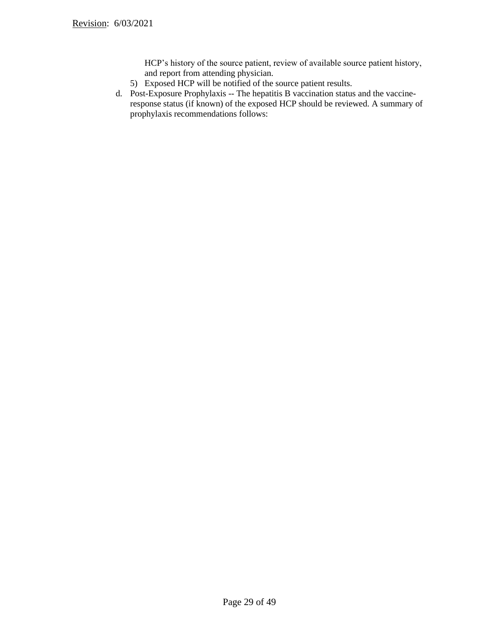HCP's history of the source patient, review of available source patient history, and report from attending physician.

- 5) Exposed HCP will be notified of the source patient results.
- d. Post-Exposure Prophylaxis -- The hepatitis B vaccination status and the vaccineresponse status (if known) of the exposed HCP should be reviewed. A summary of prophylaxis recommendations follows: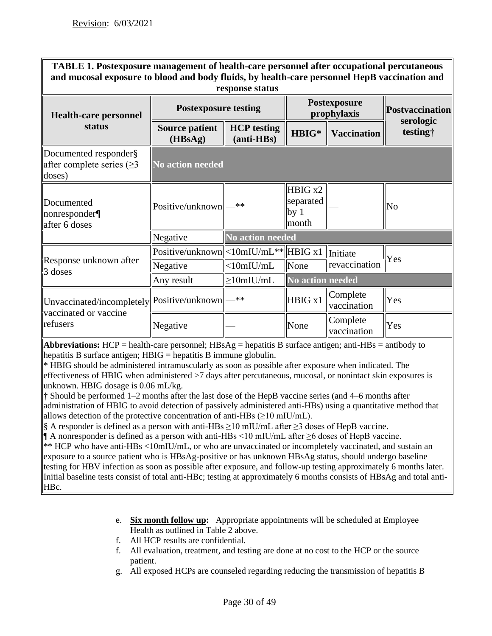**TABLE 1. Postexposure management of health-care personnel after occupational percutaneous and mucosal exposure to blood and body fluids, by health-care personnel HepB vaccination and response status**

| <b>Health-care personnel</b>                                            | <b>Postexposure testing</b>                               |                                    | Postexposure<br>prophylaxis                      |                           | <b>Postvaccination</b>       |
|-------------------------------------------------------------------------|-----------------------------------------------------------|------------------------------------|--------------------------------------------------|---------------------------|------------------------------|
| status                                                                  | <b>Source patient</b><br>(HBsAg)                          | <b>HCP</b> testing<br>$(anti-HBs)$ | HBIG*                                            | <b>Vaccination</b>        | serologic<br><i>testing†</i> |
| Documented responder§<br>after complete series $(\geq)$<br>doses)       | <b>No action needed</b>                                   |                                    |                                                  |                           |                              |
| Documented<br>nonresponder<br>after 6 doses                             | Positive/unknown                                          | $\ast\ast$                         | HBIG x2<br>separated<br>by <sub>1</sub><br>month |                           | No                           |
|                                                                         | Negative                                                  | No action needed                   |                                                  |                           |                              |
| <b>Response unknown after</b>                                           | $Positive/unknown \le 10mIU/mL** \le HBIG x1$<br>Negative | $<$ 10mIU/mL                       | None                                             | Initiate<br>revaccination | Yes                          |
| 3 doses                                                                 | Any result                                                | $\geq$ 10mIU/mL                    | No action needed                                 |                           |                              |
| Unvaccinated/incompletely  Positive/unknown  -<br>vaccinated or vaccine |                                                           | **                                 | HBIG x1                                          | Complete<br>vaccination   | Yes                          |
| refusers                                                                | Negative                                                  |                                    | None                                             | Complete<br>vaccination   | Yes                          |

**Abbreviations:** HCP = health-care personnel;  $HBSAg =$  hepatitis B surface antigen; anti- $HBS =$  antibody to hepatitis B surface antigen;  $H B I G =$  hepatitis B immune globulin.

\* HBIG should be administered intramuscularly as soon as possible after exposure when indicated. The effectiveness of HBIG when administered >7 days after percutaneous, mucosal, or nonintact skin exposures is unknown. HBIG dosage is 0.06 mL/kg.

† Should be performed 1–2 months after the last dose of the HepB vaccine series (and 4–6 months after administration of HBIG to avoid detection of passively administered anti-HBs) using a quantitative method that allows detection of the protective concentration of anti-HBs  $(≥10$  mIU/mL).

§ A responder is defined as a person with anti-HBs  $\geq$ 10 mIU/mL after  $\geq$ 3 doses of HepB vaccine.

¶ A nonresponder is defined as a person with anti-HBs <10 mIU/mL after ≥6 doses of HepB vaccine. \*\* HCP who have anti-HBs <10mIU/mL, or who are unvaccinated or incompletely vaccinated, and sustain an exposure to a source patient who is HBsAg-positive or has unknown HBsAg status, should undergo baseline testing for HBV infection as soon as possible after exposure, and follow-up testing approximately 6 months later. Initial baseline tests consist of total anti-HBc; testing at approximately 6 months consists of HBsAg and total anti-HBc.

- e. **Six month follow up:** Appropriate appointments will be scheduled at Employee Health as outlined in Table 2 above.
- f. All HCP results are confidential.
- f. All evaluation, treatment, and testing are done at no cost to the HCP or the source patient.
- g. All exposed HCPs are counseled regarding reducing the transmission of hepatitis B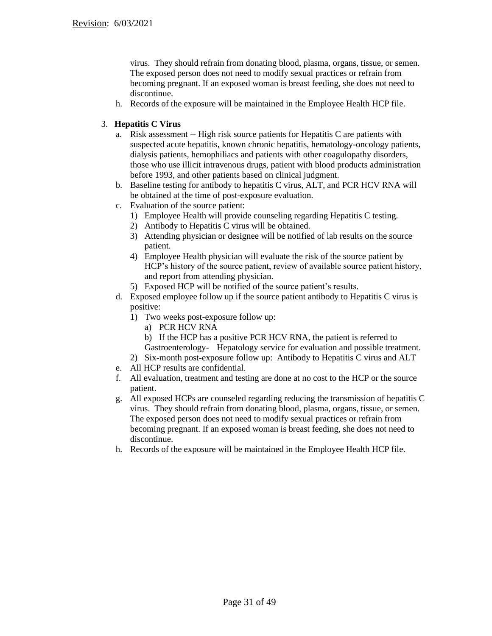virus. They should refrain from donating blood, plasma, organs, tissue, or semen. The exposed person does not need to modify sexual practices or refrain from becoming pregnant. If an exposed woman is breast feeding, she does not need to discontinue.

h. Records of the exposure will be maintained in the Employee Health HCP file.

#### 3. **Hepatitis C Virus**

- a. Risk assessment -- High risk source patients for Hepatitis C are patients with suspected acute hepatitis, known chronic hepatitis, hematology-oncology patients, dialysis patients, hemophiliacs and patients with other coagulopathy disorders, those who use illicit intravenous drugs, patient with blood products administration before 1993, and other patients based on clinical judgment.
- b. Baseline testing for antibody to hepatitis C virus, ALT, and PCR HCV RNA will be obtained at the time of post-exposure evaluation.
- c. Evaluation of the source patient:
	- 1) Employee Health will provide counseling regarding Hepatitis C testing.
	- 2) Antibody to Hepatitis C virus will be obtained.
	- 3) Attending physician or designee will be notified of lab results on the source patient.
	- 4) Employee Health physician will evaluate the risk of the source patient by HCP's history of the source patient, review of available source patient history, and report from attending physician.
	- 5) Exposed HCP will be notified of the source patient's results.
- d. Exposed employee follow up if the source patient antibody to Hepatitis C virus is positive:
	- 1) Two weeks post-exposure follow up:
		- a) PCR HCV RNA
		- b) If the HCP has a positive PCR HCV RNA, the patient is referred to Gastroenterology- Hepatology service for evaluation and possible treatment.
	- 2) Six-month post-exposure follow up: Antibody to Hepatitis C virus and ALT
- e. All HCP results are confidential.
- f. All evaluation, treatment and testing are done at no cost to the HCP or the source patient.
- g. All exposed HCPs are counseled regarding reducing the transmission of hepatitis C virus. They should refrain from donating blood, plasma, organs, tissue, or semen. The exposed person does not need to modify sexual practices or refrain from becoming pregnant. If an exposed woman is breast feeding, she does not need to discontinue.
- h. Records of the exposure will be maintained in the Employee Health HCP file.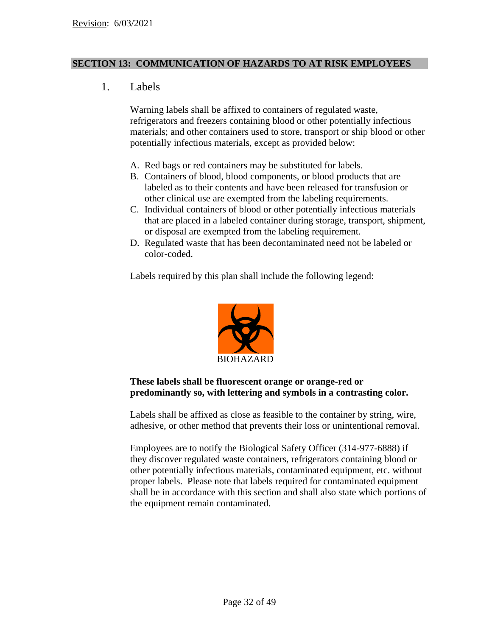## **SECTION 13: COMMUNICATION OF HAZARDS TO AT RISK EMPLOYEES**

1. Labels

Warning labels shall be affixed to containers of regulated waste, refrigerators and freezers containing blood or other potentially infectious materials; and other containers used to store, transport or ship blood or other potentially infectious materials, except as provided below:

- A. Red bags or red containers may be substituted for labels.
- B. Containers of blood, blood components, or blood products that are labeled as to their contents and have been released for transfusion or other clinical use are exempted from the labeling requirements.
- C. Individual containers of blood or other potentially infectious materials that are placed in a labeled container during storage, transport, shipment, or disposal are exempted from the labeling requirement.
- D. Regulated waste that has been decontaminated need not be labeled or color-coded.

Labels required by this plan shall include the following legend:



# **These labels shall be fluorescent orange or orange-red or predominantly so, with lettering and symbols in a contrasting color.**

Labels shall be affixed as close as feasible to the container by string, wire, adhesive, or other method that prevents their loss or unintentional removal.

Employees are to notify the Biological Safety Officer (314-977-6888) if they discover regulated waste containers, refrigerators containing blood or other potentially infectious materials, contaminated equipment, etc. without proper labels. Please note that labels required for contaminated equipment shall be in accordance with this section and shall also state which portions of the equipment remain contaminated.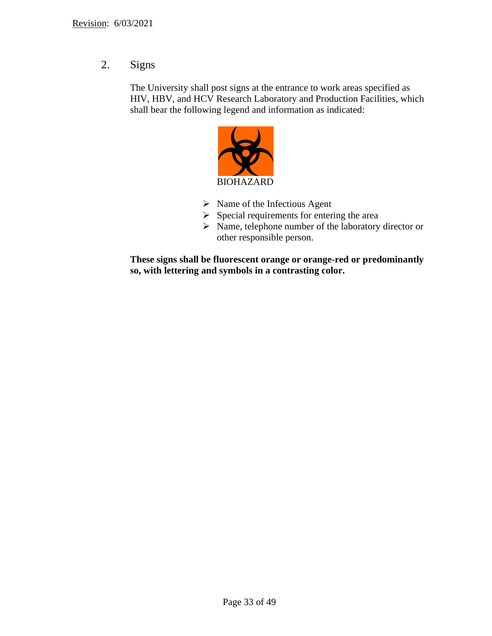2. Signs

The University shall post signs at the entrance to work areas specified as HIV, HBV, and HCV Research Laboratory and Production Facilities, which shall bear the following legend and information as indicated:



- ➢ Name of the Infectious Agent
- $\triangleright$  Special requirements for entering the area
- ➢ Name, telephone number of the laboratory director or other responsible person.

**These signs shall be fluorescent orange or orange-red or predominantly so, with lettering and symbols in a contrasting color.**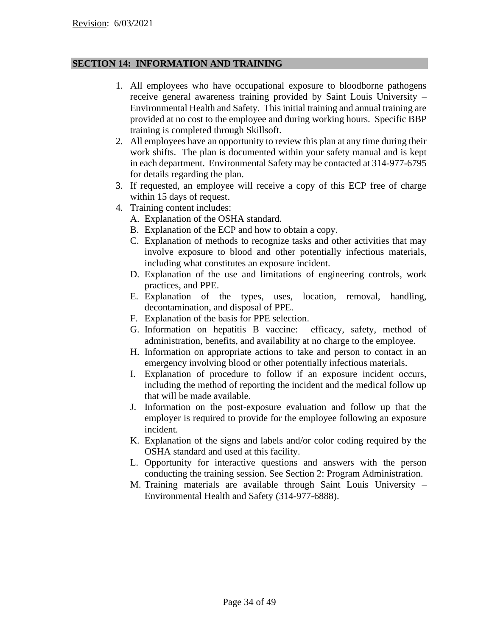## **SECTION 14: INFORMATION AND TRAINING**

- 1. All employees who have occupational exposure to bloodborne pathogens receive general awareness training provided by Saint Louis University – Environmental Health and Safety. This initial training and annual training are provided at no cost to the employee and during working hours. Specific BBP training is completed through Skillsoft.
- 2. All employees have an opportunity to review this plan at any time during their work shifts. The plan is documented within your safety manual and is kept in each department. Environmental Safety may be contacted at 314-977-6795 for details regarding the plan.
- 3. If requested, an employee will receive a copy of this ECP free of charge within 15 days of request.
- 4. Training content includes:
	- A. Explanation of the OSHA standard.
	- B. Explanation of the ECP and how to obtain a copy.
	- C. Explanation of methods to recognize tasks and other activities that may involve exposure to blood and other potentially infectious materials, including what constitutes an exposure incident.
	- D. Explanation of the use and limitations of engineering controls, work practices, and PPE.
	- E. Explanation of the types, uses, location, removal, handling, decontamination, and disposal of PPE.
	- F. Explanation of the basis for PPE selection.
	- G. Information on hepatitis B vaccine: efficacy, safety, method of administration, benefits, and availability at no charge to the employee.
	- H. Information on appropriate actions to take and person to contact in an emergency involving blood or other potentially infectious materials.
	- I. Explanation of procedure to follow if an exposure incident occurs, including the method of reporting the incident and the medical follow up that will be made available.
	- J. Information on the post-exposure evaluation and follow up that the employer is required to provide for the employee following an exposure incident.
	- K. Explanation of the signs and labels and/or color coding required by the OSHA standard and used at this facility.
	- L. Opportunity for interactive questions and answers with the person conducting the training session. See Section 2: Program Administration.
	- M. Training materials are available through Saint Louis University Environmental Health and Safety (314-977-6888).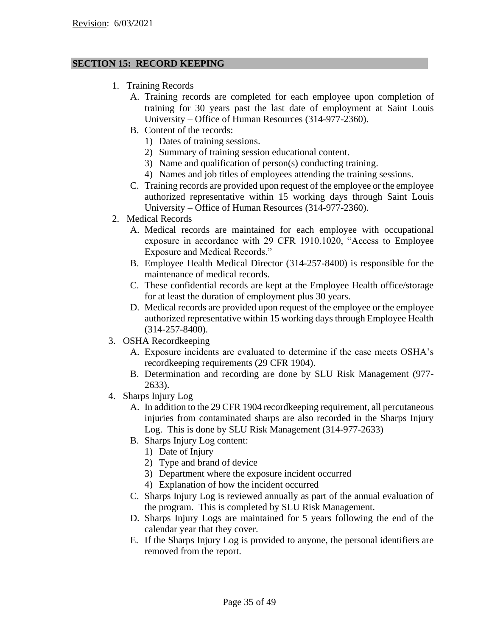# **SECTION 15: RECORD KEEPING**

- 1. Training Records
	- A. Training records are completed for each employee upon completion of training for 30 years past the last date of employment at Saint Louis University – Office of Human Resources (314-977-2360).
	- B. Content of the records:
		- 1) Dates of training sessions.
		- 2) Summary of training session educational content.
		- 3) Name and qualification of person(s) conducting training.
		- 4) Names and job titles of employees attending the training sessions.
	- C. Training records are provided upon request of the employee or the employee authorized representative within 15 working days through Saint Louis University – Office of Human Resources (314-977-2360).
- 2. Medical Records
	- A. Medical records are maintained for each employee with occupational exposure in accordance with 29 CFR 1910.1020, "Access to Employee Exposure and Medical Records."
	- B. Employee Health Medical Director (314-257-8400) is responsible for the maintenance of medical records.
	- C. These confidential records are kept at the Employee Health office/storage for at least the duration of employment plus 30 years.
	- D. Medical records are provided upon request of the employee or the employee authorized representative within 15 working days through Employee Health (314-257-8400).
- 3. OSHA Recordkeeping
	- A. Exposure incidents are evaluated to determine if the case meets OSHA's recordkeeping requirements (29 CFR 1904).
	- B. Determination and recording are done by SLU Risk Management (977- 2633).
- 4. Sharps Injury Log
	- A. In addition to the 29 CFR 1904 recordkeeping requirement, all percutaneous injuries from contaminated sharps are also recorded in the Sharps Injury Log. This is done by SLU Risk Management (314-977-2633)
	- B. Sharps Injury Log content:
		- 1) Date of Injury
		- 2) Type and brand of device
		- 3) Department where the exposure incident occurred
		- 4) Explanation of how the incident occurred
	- C. Sharps Injury Log is reviewed annually as part of the annual evaluation of the program. This is completed by SLU Risk Management.
	- D. Sharps Injury Logs are maintained for 5 years following the end of the calendar year that they cover.
	- E. If the Sharps Injury Log is provided to anyone, the personal identifiers are removed from the report.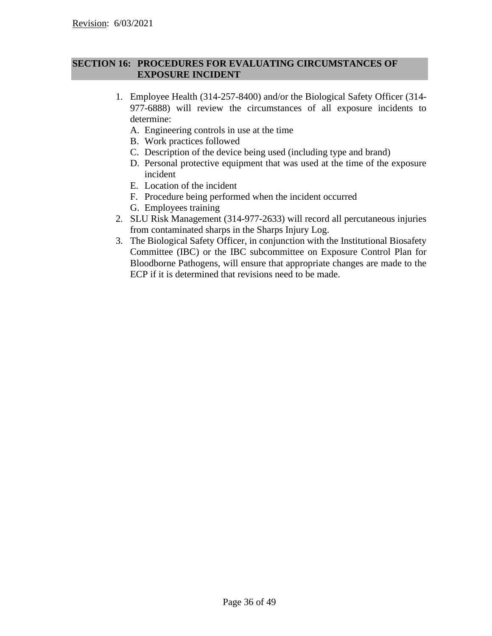## **SECTION 16: PROCEDURES FOR EVALUATING CIRCUMSTANCES OF EXPOSURE INCIDENT**

- 1. Employee Health (314-257-8400) and/or the Biological Safety Officer (314- 977-6888) will review the circumstances of all exposure incidents to determine:
	- A. Engineering controls in use at the time
	- B. Work practices followed
	- C. Description of the device being used (including type and brand)
	- D. Personal protective equipment that was used at the time of the exposure incident
	- E. Location of the incident
	- F. Procedure being performed when the incident occurred
	- G. Employees training
- 2. SLU Risk Management (314-977-2633) will record all percutaneous injuries from contaminated sharps in the Sharps Injury Log.
- 3. The Biological Safety Officer, in conjunction with the Institutional Biosafety Committee (IBC) or the IBC subcommittee on Exposure Control Plan for Bloodborne Pathogens, will ensure that appropriate changes are made to the ECP if it is determined that revisions need to be made.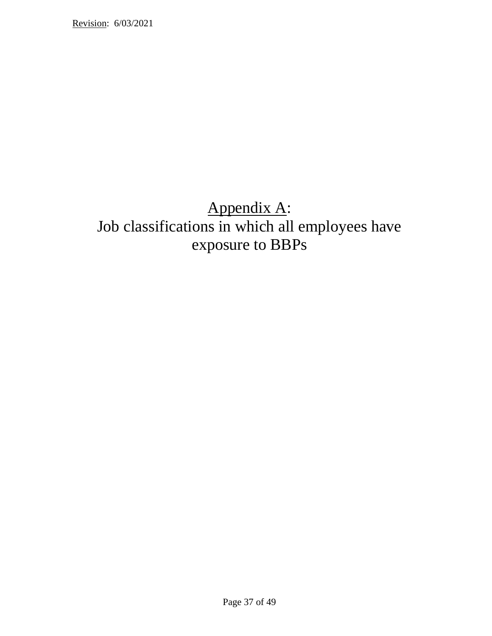# Appendix A: Job classifications in which all employees have exposure to BBPs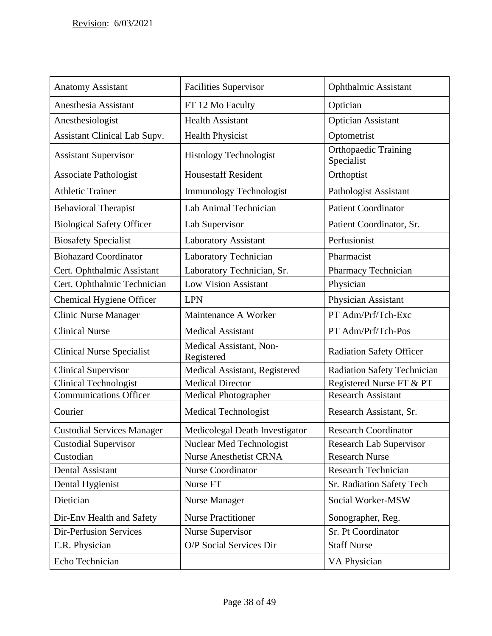| <b>Anatomy Assistant</b>            | <b>Facilities Supervisor</b>          | <b>Ophthalmic Assistant</b>               |
|-------------------------------------|---------------------------------------|-------------------------------------------|
| Anesthesia Assistant                | FT 12 Mo Faculty                      | Optician                                  |
| Anesthesiologist                    | <b>Health Assistant</b>               | <b>Optician Assistant</b>                 |
| <b>Assistant Clinical Lab Supv.</b> | <b>Health Physicist</b>               | Optometrist                               |
| <b>Assistant Supervisor</b>         | <b>Histology Technologist</b>         | <b>Orthopaedic Training</b><br>Specialist |
| <b>Associate Pathologist</b>        | <b>Housestaff Resident</b>            | Orthoptist                                |
| <b>Athletic Trainer</b>             | Immunology Technologist               | Pathologist Assistant                     |
| <b>Behavioral Therapist</b>         | Lab Animal Technician                 | <b>Patient Coordinator</b>                |
| <b>Biological Safety Officer</b>    | Lab Supervisor                        | Patient Coordinator, Sr.                  |
| <b>Biosafety Specialist</b>         | Laboratory Assistant                  | Perfusionist                              |
| <b>Biohazard Coordinator</b>        | Laboratory Technician                 | Pharmacist                                |
| Cert. Ophthalmic Assistant          | Laboratory Technician, Sr.            | <b>Pharmacy Technician</b>                |
| Cert. Ophthalmic Technician         | <b>Low Vision Assistant</b>           | Physician                                 |
| Chemical Hygiene Officer            | <b>LPN</b>                            | Physician Assistant                       |
| <b>Clinic Nurse Manager</b>         | Maintenance A Worker                  | PT Adm/Prf/Tch-Exc                        |
| <b>Clinical Nurse</b>               | <b>Medical Assistant</b>              | PT Adm/Prf/Tch-Pos                        |
| <b>Clinical Nurse Specialist</b>    | Medical Assistant, Non-<br>Registered | <b>Radiation Safety Officer</b>           |
| <b>Clinical Supervisor</b>          | Medical Assistant, Registered         | <b>Radiation Safety Technician</b>        |
| <b>Clinical Technologist</b>        | <b>Medical Director</b>               | Registered Nurse FT & PT                  |
| <b>Communications Officer</b>       | Medical Photographer                  | <b>Research Assistant</b>                 |
| Courier                             | <b>Medical Technologist</b>           | Research Assistant, Sr.                   |
| <b>Custodial Services Manager</b>   | Medicolegal Death Investigator        | <b>Research Coordinator</b>               |
| <b>Custodial Supervisor</b>         | <b>Nuclear Med Technologist</b>       | <b>Research Lab Supervisor</b>            |
| Custodian                           | <b>Nurse Anesthetist CRNA</b>         | <b>Research Nurse</b>                     |
| <b>Dental Assistant</b>             | <b>Nurse Coordinator</b>              | Research Technician                       |
| Dental Hygienist                    | Nurse FT                              | Sr. Radiation Safety Tech                 |
| Dietician                           | Nurse Manager                         | Social Worker-MSW                         |
| Dir-Env Health and Safety           | <b>Nurse Practitioner</b>             | Sonographer, Reg.                         |
| <b>Dir-Perfusion Services</b>       | <b>Nurse Supervisor</b>               | Sr. Pt Coordinator                        |
| E.R. Physician                      | O/P Social Services Dir               | <b>Staff Nurse</b>                        |
| Echo Technician                     |                                       | VA Physician                              |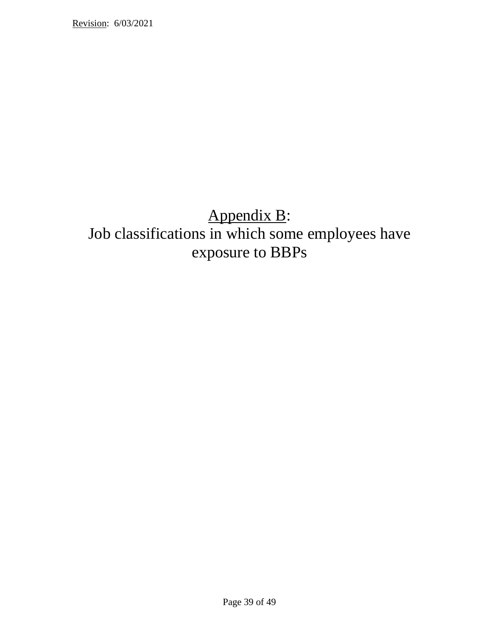# Appendix B: Job classifications in which some employees have exposure to BBPs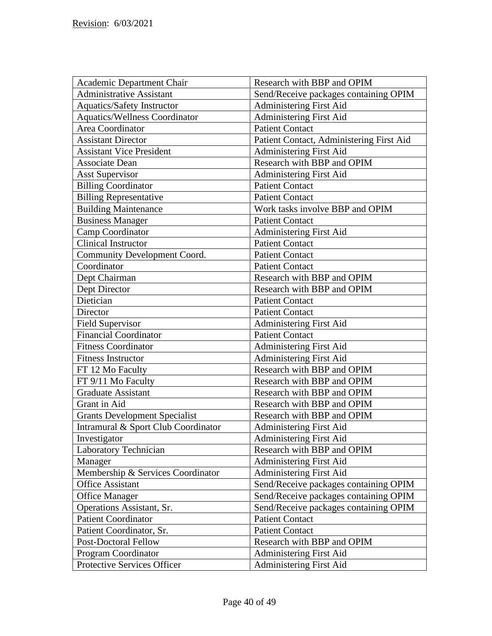| Academic Department Chair            | Research with BBP and OPIM               |
|--------------------------------------|------------------------------------------|
| <b>Administrative Assistant</b>      | Send/Receive packages containing OPIM    |
| <b>Aquatics/Safety Instructor</b>    | Administering First Aid                  |
| <b>Aquatics/Wellness Coordinator</b> | <b>Administering First Aid</b>           |
| Area Coordinator                     | <b>Patient Contact</b>                   |
| <b>Assistant Director</b>            | Patient Contact, Administering First Aid |
| <b>Assistant Vice President</b>      | Administering First Aid                  |
| <b>Associate Dean</b>                | Research with BBP and OPIM               |
| <b>Asst Supervisor</b>               | Administering First Aid                  |
| <b>Billing Coordinator</b>           | <b>Patient Contact</b>                   |
| <b>Billing Representative</b>        | <b>Patient Contact</b>                   |
| <b>Building Maintenance</b>          | Work tasks involve BBP and OPIM          |
| <b>Business Manager</b>              | <b>Patient Contact</b>                   |
| Camp Coordinator                     | Administering First Aid                  |
| <b>Clinical Instructor</b>           | <b>Patient Contact</b>                   |
| <b>Community Development Coord.</b>  | <b>Patient Contact</b>                   |
| Coordinator                          | <b>Patient Contact</b>                   |
| Dept Chairman                        | Research with BBP and OPIM               |
| Dept Director                        | Research with BBP and OPIM               |
| Dietician                            | <b>Patient Contact</b>                   |
| Director                             | <b>Patient Contact</b>                   |
| <b>Field Supervisor</b>              | Administering First Aid                  |
| <b>Financial Coordinator</b>         | <b>Patient Contact</b>                   |
| <b>Fitness Coordinator</b>           | Administering First Aid                  |
| <b>Fitness Instructor</b>            | <b>Administering First Aid</b>           |
| FT 12 Mo Faculty                     | Research with BBP and OPIM               |
| FT 9/11 Mo Faculty                   | Research with BBP and OPIM               |
| <b>Graduate Assistant</b>            | Research with BBP and OPIM               |
| Grant in Aid                         | Research with BBP and OPIM               |
| <b>Grants Development Specialist</b> | Research with BBP and OPIM               |
| Intramural & Sport Club Coordinator  | <b>Administering First Aid</b>           |
| Investigator                         | Administering First Aid                  |
| Laboratory Technician                | Research with BBP and OPIM               |
| Manager                              | Administering First Aid                  |
| Membership & Services Coordinator    | Administering First Aid                  |
| <b>Office Assistant</b>              | Send/Receive packages containing OPIM    |
| <b>Office Manager</b>                | Send/Receive packages containing OPIM    |
| Operations Assistant, Sr.            | Send/Receive packages containing OPIM    |
| <b>Patient Coordinator</b>           | <b>Patient Contact</b>                   |
| Patient Coordinator, Sr.             | <b>Patient Contact</b>                   |
| <b>Post-Doctoral Fellow</b>          | Research with BBP and OPIM               |
| Program Coordinator                  | Administering First Aid                  |
| Protective Services Officer          | <b>Administering First Aid</b>           |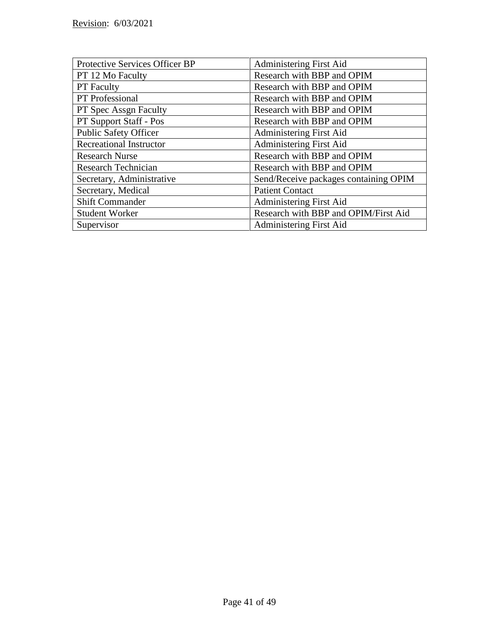| Protective Services Officer BP | Administering First Aid               |
|--------------------------------|---------------------------------------|
| PT 12 Mo Faculty               | Research with BBP and OPIM            |
| <b>PT</b> Faculty              | Research with BBP and OPIM            |
| PT Professional                | Research with BBP and OPIM            |
| PT Spec Assgn Faculty          | Research with BBP and OPIM            |
| PT Support Staff - Pos         | Research with BBP and OPIM            |
| <b>Public Safety Officer</b>   | Administering First Aid               |
| <b>Recreational Instructor</b> | Administering First Aid               |
| <b>Research Nurse</b>          | Research with BBP and OPIM            |
| Research Technician            | Research with BBP and OPIM            |
| Secretary, Administrative      | Send/Receive packages containing OPIM |
| Secretary, Medical             | <b>Patient Contact</b>                |
| <b>Shift Commander</b>         | Administering First Aid               |
| <b>Student Worker</b>          | Research with BBP and OPIM/First Aid  |
| Supervisor                     | Administering First Aid               |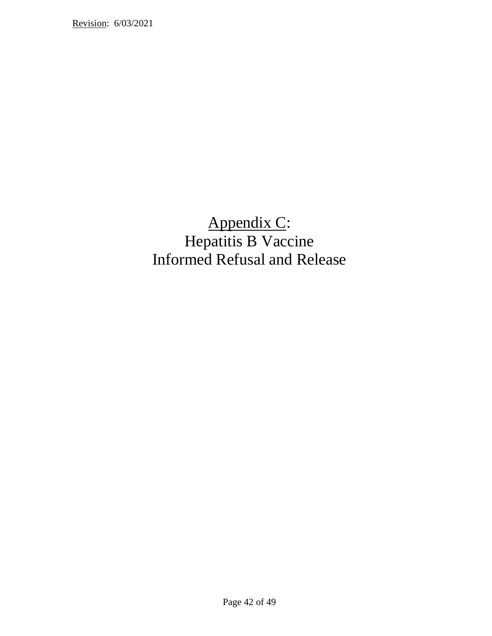# Appendix C: Hepatitis B Vaccine Informed Refusal and Release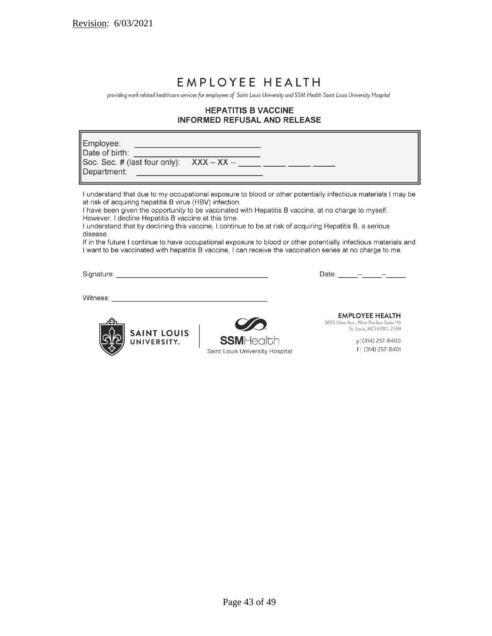# EMPLOYEE HEALTH

providing work related healthcare services for employees of Saint Louis University and SSM Health Saint Louis University Hospital

## **HEPATITIS B VACCINE INFORMED REFUSAL AND RELEASE**

| Employee:<br>Department:<br><u> 1990 - Jan James, maria al II-lea (b. 1980)</u>                                                                                                                                                                                                                                                                                                                                                                                                                                                                                                                                                                                                                     |                  |                                                                    |                                             |
|-----------------------------------------------------------------------------------------------------------------------------------------------------------------------------------------------------------------------------------------------------------------------------------------------------------------------------------------------------------------------------------------------------------------------------------------------------------------------------------------------------------------------------------------------------------------------------------------------------------------------------------------------------------------------------------------------------|------------------|--------------------------------------------------------------------|---------------------------------------------|
| I understand that due to my occupational exposure to blood or other potentially infectious materials I may be<br>at risk of acquiring hepatitis B virus (HBV) infection.<br>I have been given the opportunity to be vaccinated with Hepatitis B vaccine, at no charge to myself.<br>However, I decline Hepatitis B vaccine at this time.<br>I understand that by declining this vaccine, I continue to be at risk of acquiring Hepatitis B, a serious<br>disease.<br>If in the future I continue to have occupational exposure to blood or other potentially infectious materials and<br>I want to be vaccinated with hepatitis B vaccine, I can receive the vaccination series at no charge to me. |                  |                                                                    |                                             |
|                                                                                                                                                                                                                                                                                                                                                                                                                                                                                                                                                                                                                                                                                                     |                  | Date: - - - - -                                                    |                                             |
| Witness: 2008. 2009. 2010. 2010. 2010. 2010. 2010. 2010. 2010. 2010. 2010. 2010. 2010. 2010. 2010. 2010. 2010                                                                                                                                                                                                                                                                                                                                                                                                                                                                                                                                                                                       |                  |                                                                    |                                             |
| <b>SAINT LOUIS</b>                                                                                                                                                                                                                                                                                                                                                                                                                                                                                                                                                                                                                                                                                  |                  | <b>EMPLOYEE HEALTH</b><br>3655 Vista Ave., West Pavilion Suite 116 | St. Louis, MO 63110-2539                    |
| UNIVERSITY.                                                                                                                                                                                                                                                                                                                                                                                                                                                                                                                                                                                                                                                                                         | <b>SSMHealth</b> |                                                                    | p (314) 257-8400<br>$C_1$ (04.4) $Q = 0.40$ |

Saint Louis University Hospital

 $f$  (314) 257-8401

Page 43 of 49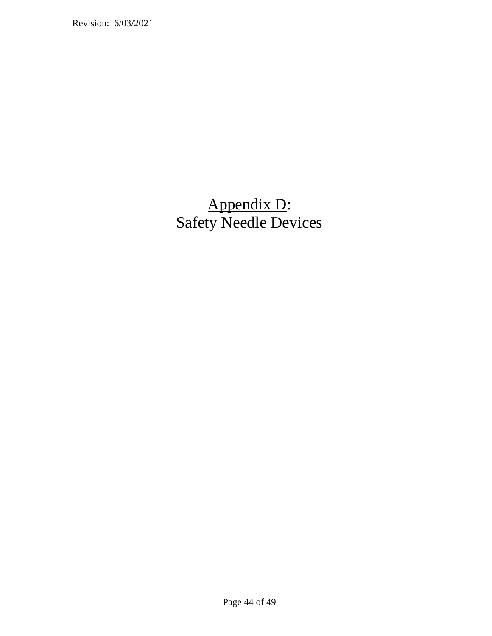# Appendix D: Safety Needle Devices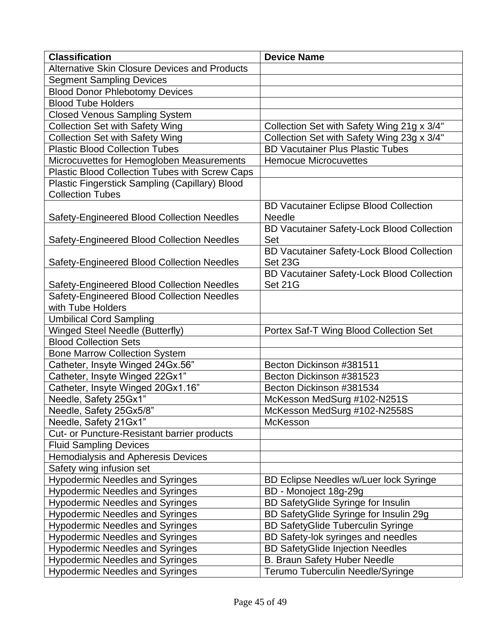| <b>Classification</b>                                 | <b>Device Name</b>                                |
|-------------------------------------------------------|---------------------------------------------------|
| <b>Alternative Skin Closure Devices and Products</b>  |                                                   |
| <b>Segment Sampling Devices</b>                       |                                                   |
| <b>Blood Donor Phlebotomy Devices</b>                 |                                                   |
| <b>Blood Tube Holders</b>                             |                                                   |
| <b>Closed Venous Sampling System</b>                  |                                                   |
| <b>Collection Set with Safety Wing</b>                | Collection Set with Safety Wing 21g x 3/4"        |
| <b>Collection Set with Safety Wing</b>                | Collection Set with Safety Wing 23g x 3/4"        |
| <b>Plastic Blood Collection Tubes</b>                 | <b>BD Vacutainer Plus Plastic Tubes</b>           |
| Microcuvettes for Hemogloben Measurements             | <b>Hemocue Microcuvettes</b>                      |
| Plastic Blood Collection Tubes with Screw Caps        |                                                   |
| <b>Plastic Fingerstick Sampling (Capillary) Blood</b> |                                                   |
| <b>Collection Tubes</b>                               |                                                   |
|                                                       | <b>BD Vacutainer Eclipse Blood Collection</b>     |
| Safety-Engineered Blood Collection Needles            | Needle                                            |
|                                                       | <b>BD Vacutainer Safety-Lock Blood Collection</b> |
| <b>Safety-Engineered Blood Collection Needles</b>     | Set                                               |
|                                                       | <b>BD Vacutainer Safety-Lock Blood Collection</b> |
| Safety-Engineered Blood Collection Needles            | Set 23G                                           |
|                                                       | <b>BD Vacutainer Safety-Lock Blood Collection</b> |
| <b>Safety-Engineered Blood Collection Needles</b>     | Set 21G                                           |
| Safety-Engineered Blood Collection Needles            |                                                   |
| with Tube Holders                                     |                                                   |
| <b>Umbilical Cord Sampling</b>                        |                                                   |
| <b>Winged Steel Needle (Butterfly)</b>                | Portex Saf-T Wing Blood Collection Set            |
| <b>Blood Collection Sets</b>                          |                                                   |
| <b>Bone Marrow Collection System</b>                  |                                                   |
| Catheter, Insyte Winged 24Gx.56"                      | Becton Dickinson #381511                          |
| Catheter, Insyte Winged 22Gx1"                        | Becton Dickinson #381523                          |
| Catheter, Insyte Winged 20Gx1.16"                     | Becton Dickinson #381534                          |
| Needle, Safety 25Gx1"                                 | McKesson MedSurg #102-N251S                       |
| Needle, Safety 25Gx5/8"                               | McKesson MedSurg #102-N2558S                      |
| Needle, Safety 21Gx1"                                 | <b>McKesson</b>                                   |
| Cut- or Puncture-Resistant barrier products           |                                                   |
| <b>Fluid Sampling Devices</b>                         |                                                   |
| <b>Hemodialysis and Apheresis Devices</b>             |                                                   |
| Safety wing infusion set                              |                                                   |
| <b>Hypodermic Needles and Syringes</b>                | <b>BD Eclipse Needles w/Luer lock Syringe</b>     |
| <b>Hypodermic Needles and Syringes</b>                | BD - Monoject 18g-29g                             |
| <b>Hypodermic Needles and Syringes</b>                | BD SafetyGlide Syringe for Insulin                |
| <b>Hypodermic Needles and Syringes</b>                | BD SafetyGlide Syringe for Insulin 29g            |
| <b>Hypodermic Needles and Syringes</b>                | <b>BD SafetyGlide Tuberculin Syringe</b>          |
| <b>Hypodermic Needles and Syringes</b>                | BD Safety-lok syringes and needles                |
| <b>Hypodermic Needles and Syringes</b>                | <b>BD SafetyGlide Injection Needles</b>           |
| <b>Hypodermic Needles and Syringes</b>                | <b>B. Braun Safety Huber Needle</b>               |
| <b>Hypodermic Needles and Syringes</b>                | Terumo Tuberculin Needle/Syringe                  |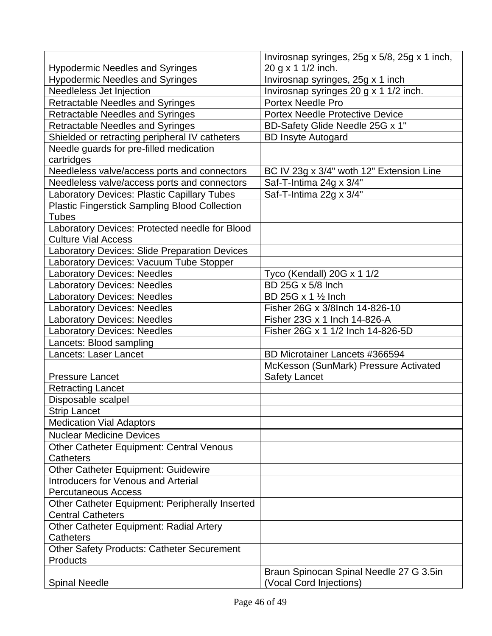|                                                      | Invirosnap syringes, 25g x 5/8, 25g x 1 inch, |
|------------------------------------------------------|-----------------------------------------------|
| <b>Hypodermic Needles and Syringes</b>               | 20 g x 1 1/2 inch.                            |
| <b>Hypodermic Needles and Syringes</b>               | Invirosnap syringes, 25g x 1 inch             |
| Needleless Jet Injection                             | Invirosnap syringes 20 g x 1 1/2 inch.        |
| <b>Retractable Needles and Syringes</b>              | <b>Portex Needle Pro</b>                      |
| <b>Retractable Needles and Syringes</b>              | <b>Portex Needle Protective Device</b>        |
| <b>Retractable Needles and Syringes</b>              | BD-Safety Glide Needle 25G x 1"               |
| Shielded or retracting peripheral IV catheters       | <b>BD Insyte Autogard</b>                     |
| Needle guards for pre-filled medication              |                                               |
| cartridges                                           |                                               |
| Needleless valve/access ports and connectors         | BC IV 23g x 3/4" woth 12" Extension Line      |
| Needleless valve/access ports and connectors         | Saf-T-Intima 24g x 3/4"                       |
| Laboratory Devices: Plastic Capillary Tubes          | Saf-T-Intima 22g x 3/4"                       |
| <b>Plastic Fingerstick Sampling Blood Collection</b> |                                               |
| <b>Tubes</b>                                         |                                               |
| Laboratory Devices: Protected needle for Blood       |                                               |
| <b>Culture Vial Access</b>                           |                                               |
| Laboratory Devices: Slide Preparation Devices        |                                               |
| Laboratory Devices: Vacuum Tube Stopper              |                                               |
| <b>Laboratory Devices: Needles</b>                   | Tyco (Kendall) 20G x 1 1/2                    |
| <b>Laboratory Devices: Needles</b>                   | BD 25G x 5/8 Inch                             |
| <b>Laboratory Devices: Needles</b>                   | BD 25G x 1 1/2 Inch                           |
| <b>Laboratory Devices: Needles</b>                   | Fisher 26G x 3/8Inch 14-826-10                |
| <b>Laboratory Devices: Needles</b>                   | Fisher 23G x 1 Inch 14-826-A                  |
| <b>Laboratory Devices: Needles</b>                   | Fisher 26G x 1 1/2 Inch 14-826-5D             |
| Lancets: Blood sampling                              |                                               |
| <b>Lancets: Laser Lancet</b>                         | BD Microtainer Lancets #366594                |
|                                                      | McKesson (SunMark) Pressure Activated         |
| <b>Pressure Lancet</b>                               | <b>Safety Lancet</b>                          |
| <b>Retracting Lancet</b>                             |                                               |
| Disposable scalpel                                   |                                               |
| <b>Strip Lancet</b>                                  |                                               |
| <b>Medication Vial Adaptors</b>                      |                                               |
| <b>Nuclear Medicine Devices</b>                      |                                               |
| Other Catheter Equipment: Central Venous             |                                               |
| <b>Catheters</b>                                     |                                               |
| <b>Other Catheter Equipment: Guidewire</b>           |                                               |
| <b>Introducers for Venous and Arterial</b>           |                                               |
| <b>Percutaneous Access</b>                           |                                               |
| Other Catheter Equipment: Peripherally Inserted      |                                               |
| <b>Central Catheters</b>                             |                                               |
| <b>Other Catheter Equipment: Radial Artery</b>       |                                               |
| Catheters                                            |                                               |
| <b>Other Safety Products: Catheter Securement</b>    |                                               |
| Products                                             |                                               |
|                                                      | Braun Spinocan Spinal Needle 27 G 3.5in       |
| <b>Spinal Needle</b>                                 | (Vocal Cord Injections)                       |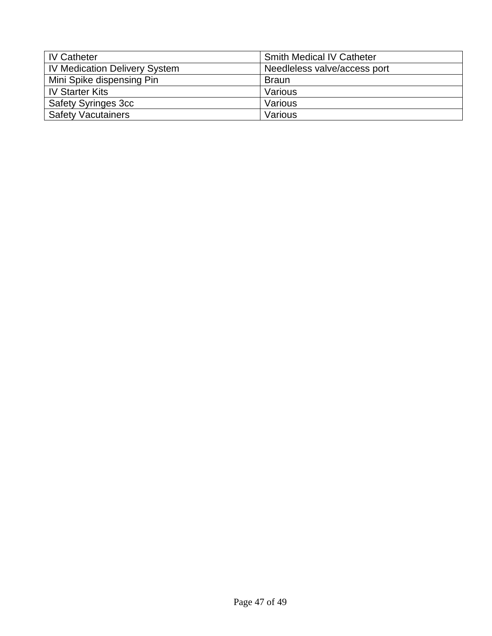| <b>IV Catheter</b>                   | <b>Smith Medical IV Catheter</b> |
|--------------------------------------|----------------------------------|
| <b>IV Medication Delivery System</b> | Needleless valve/access port     |
| Mini Spike dispensing Pin            | <b>Braun</b>                     |
| <b>IV Starter Kits</b>               | Various                          |
| <b>Safety Syringes 3cc</b>           | Various                          |
| <b>Safety Vacutainers</b>            | Various                          |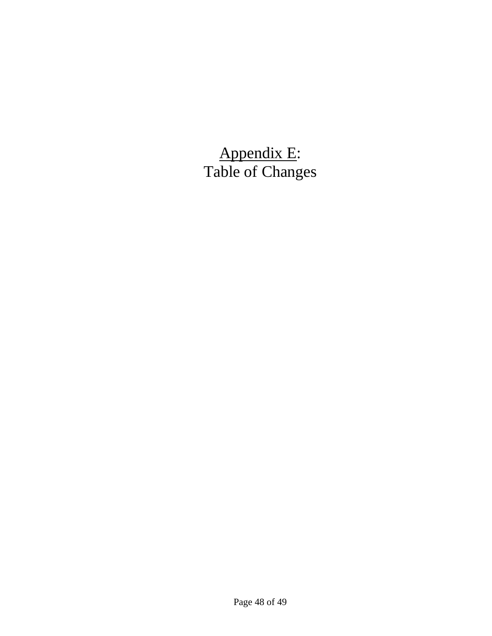Appendix E: Table of Changes